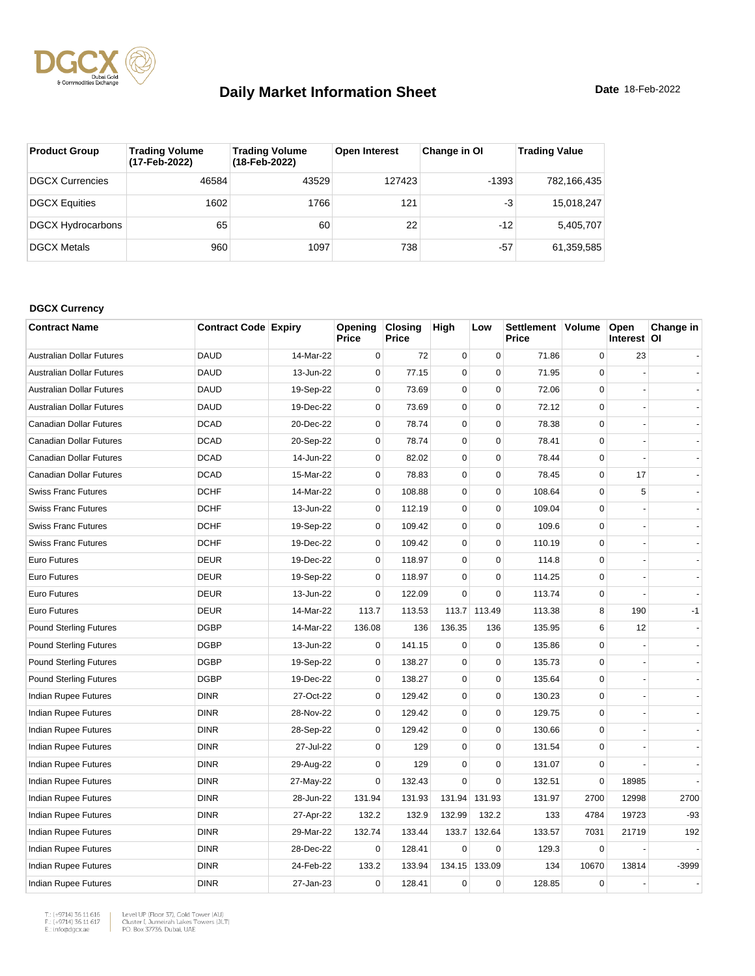

| <b>Product Group</b>     | <b>Trading Volume</b><br>(17-Feb-2022) | <b>Trading Volume</b><br>(18-Feb-2022) | <b>Open Interest</b> | Change in OI | <b>Trading Value</b> |
|--------------------------|----------------------------------------|----------------------------------------|----------------------|--------------|----------------------|
| <b>DGCX Currencies</b>   | 46584                                  | 43529                                  | 127423               | $-1393$      | 782,166,435          |
| <b>DGCX Equities</b>     | 1602                                   | 1766                                   | 121                  | -3           | 15,018,247           |
| <b>DGCX Hydrocarbons</b> | 65                                     | 60                                     | 22                   | $-12$        | 5,405,707            |
| <b>DGCX Metals</b>       | 960                                    | 1097                                   | 738                  | $-57$        | 61,359,585           |

#### **DGCX Currency**

| <b>Contract Name</b>             | <b>Contract Code Expiry</b> |           | Opening<br>Price | <b>Closing</b><br><b>Price</b> | High        | Low         | Settlement Volume<br><b>Price</b> |             | Open<br>Interest OI | Change in |
|----------------------------------|-----------------------------|-----------|------------------|--------------------------------|-------------|-------------|-----------------------------------|-------------|---------------------|-----------|
| <b>Australian Dollar Futures</b> | <b>DAUD</b>                 | 14-Mar-22 | $\mathbf 0$      | 72                             | $\pmb{0}$   | $\pmb{0}$   | 71.86                             | $\mathbf 0$ | 23                  |           |
| Australian Dollar Futures        | <b>DAUD</b>                 | 13-Jun-22 | $\mathbf 0$      | 77.15                          | $\mathbf 0$ | $\Omega$    | 71.95                             | $\Omega$    |                     |           |
| Australian Dollar Futures        | <b>DAUD</b>                 | 19-Sep-22 | $\mathbf 0$      | 73.69                          | $\mathbf 0$ | $\mathbf 0$ | 72.06                             | $\mathbf 0$ |                     |           |
| <b>Australian Dollar Futures</b> | <b>DAUD</b>                 | 19-Dec-22 | $\mathbf 0$      | 73.69                          | $\mathbf 0$ | $\mathbf 0$ | 72.12                             | $\mathbf 0$ |                     |           |
| <b>Canadian Dollar Futures</b>   | <b>DCAD</b>                 | 20-Dec-22 | $\mathbf 0$      | 78.74                          | $\pmb{0}$   | $\pmb{0}$   | 78.38                             | $\mathbf 0$ |                     |           |
| <b>Canadian Dollar Futures</b>   | <b>DCAD</b>                 | 20-Sep-22 | 0                | 78.74                          | $\mathbf 0$ | $\mathbf 0$ | 78.41                             | $\mathbf 0$ |                     |           |
| Canadian Dollar Futures          | <b>DCAD</b>                 | 14-Jun-22 | $\mathbf 0$      | 82.02                          | $\pmb{0}$   | $\pmb{0}$   | 78.44                             | $\mathbf 0$ |                     |           |
| Canadian Dollar Futures          | <b>DCAD</b>                 | 15-Mar-22 | $\mathbf 0$      | 78.83                          | $\mathbf 0$ | $\mathbf 0$ | 78.45                             | $\mathbf 0$ | 17                  |           |
| <b>Swiss Franc Futures</b>       | <b>DCHF</b>                 | 14-Mar-22 | $\mathbf 0$      | 108.88                         | $\pmb{0}$   | $\mathbf 0$ | 108.64                            | $\Omega$    | 5                   |           |
| <b>Swiss Franc Futures</b>       | <b>DCHF</b>                 | 13-Jun-22 | $\mathbf 0$      | 112.19                         | $\pmb{0}$   | $\pmb{0}$   | 109.04                            | $\mathbf 0$ |                     |           |
| <b>Swiss Franc Futures</b>       | <b>DCHF</b>                 | 19-Sep-22 | $\mathbf 0$      | 109.42                         | $\mathbf 0$ | $\mathbf 0$ | 109.6                             | $\mathbf 0$ |                     |           |
| <b>Swiss Franc Futures</b>       | <b>DCHF</b>                 | 19-Dec-22 | $\mathbf 0$      | 109.42                         | $\pmb{0}$   | $\pmb{0}$   | 110.19                            | $\mathbf 0$ |                     |           |
| Euro Futures                     | <b>DEUR</b>                 | 19-Dec-22 | $\mathbf 0$      | 118.97                         | $\mathbf 0$ | $\mathbf 0$ | 114.8                             | $\Omega$    |                     |           |
| <b>Euro Futures</b>              | <b>DEUR</b>                 | 19-Sep-22 | $\mathbf 0$      | 118.97                         | $\mathbf 0$ | $\mathbf 0$ | 114.25                            | $\Omega$    |                     |           |
| Euro Futures                     | <b>DEUR</b>                 | 13-Jun-22 | $\mathbf 0$      | 122.09                         | $\mathbf 0$ | $\mathbf 0$ | 113.74                            | $\mathbf 0$ |                     |           |
| <b>Euro Futures</b>              | <b>DEUR</b>                 | 14-Mar-22 | 113.7            | 113.53                         | 113.7       | 113.49      | 113.38                            | 8           | 190                 | $-1$      |
| <b>Pound Sterling Futures</b>    | <b>DGBP</b>                 | 14-Mar-22 | 136.08           | 136                            | 136.35      | 136         | 135.95                            | 6           | 12                  |           |
| <b>Pound Sterling Futures</b>    | <b>DGBP</b>                 | 13-Jun-22 | 0                | 141.15                         | $\pmb{0}$   | $\mathbf 0$ | 135.86                            | $\mathbf 0$ |                     |           |
| <b>Pound Sterling Futures</b>    | <b>DGBP</b>                 | 19-Sep-22 | $\mathbf 0$      | 138.27                         | $\mathbf 0$ | $\mathbf 0$ | 135.73                            | $\Omega$    |                     |           |
| <b>Pound Sterling Futures</b>    | <b>DGBP</b>                 | 19-Dec-22 | $\mathbf 0$      | 138.27                         | $\mathbf 0$ | $\pmb{0}$   | 135.64                            | $\mathbf 0$ |                     |           |
| Indian Rupee Futures             | <b>DINR</b>                 | 27-Oct-22 | $\mathbf 0$      | 129.42                         | $\mathbf 0$ | $\mathbf 0$ | 130.23                            | $\Omega$    |                     |           |
| Indian Rupee Futures             | <b>DINR</b>                 | 28-Nov-22 | $\mathbf 0$      | 129.42                         | $\mathbf 0$ | $\mathbf 0$ | 129.75                            | $\mathbf 0$ |                     |           |
| <b>Indian Rupee Futures</b>      | <b>DINR</b>                 | 28-Sep-22 | $\mathbf 0$      | 129.42                         | $\mathbf 0$ | $\mathbf 0$ | 130.66                            | $\Omega$    |                     |           |
| Indian Rupee Futures             | <b>DINR</b>                 | 27-Jul-22 | $\mathbf 0$      | 129                            | $\mathbf 0$ | $\mathbf 0$ | 131.54                            | 0           |                     |           |
| Indian Rupee Futures             | <b>DINR</b>                 | 29-Aug-22 | $\mathbf 0$      | 129                            | $\pmb{0}$   | $\pmb{0}$   | 131.07                            | $\mathbf 0$ |                     |           |
| Indian Rupee Futures             | <b>DINR</b>                 | 27-May-22 | $\mathbf 0$      | 132.43                         | $\mathbf 0$ | $\mathbf 0$ | 132.51                            | $\Omega$    | 18985               |           |
| Indian Rupee Futures             | <b>DINR</b>                 | 28-Jun-22 | 131.94           | 131.93                         | 131.94      | 131.93      | 131.97                            | 2700        | 12998               | 2700      |
| <b>Indian Rupee Futures</b>      | <b>DINR</b>                 | 27-Apr-22 | 132.2            | 132.9                          | 132.99      | 132.2       | 133                               | 4784        | 19723               | $-93$     |
| Indian Rupee Futures             | <b>DINR</b>                 | 29-Mar-22 | 132.74           | 133.44                         | 133.7       | 132.64      | 133.57                            | 7031        | 21719               | 192       |
| Indian Rupee Futures             | <b>DINR</b>                 | 28-Dec-22 | $\mathbf 0$      | 128.41                         | $\mathbf 0$ | $\mathbf 0$ | 129.3                             | $\mathbf 0$ |                     |           |
| Indian Rupee Futures             | <b>DINR</b>                 | 24-Feb-22 | 133.2            | 133.94                         | 134.15      | 133.09      | 134                               | 10670       | 13814               | -3999     |
| Indian Rupee Futures             | <b>DINR</b>                 | 27-Jan-23 | $\mathbf 0$      | 128.41                         | $\mathbf 0$ | $\pmb{0}$   | 128.85                            | $\mathbf 0$ |                     |           |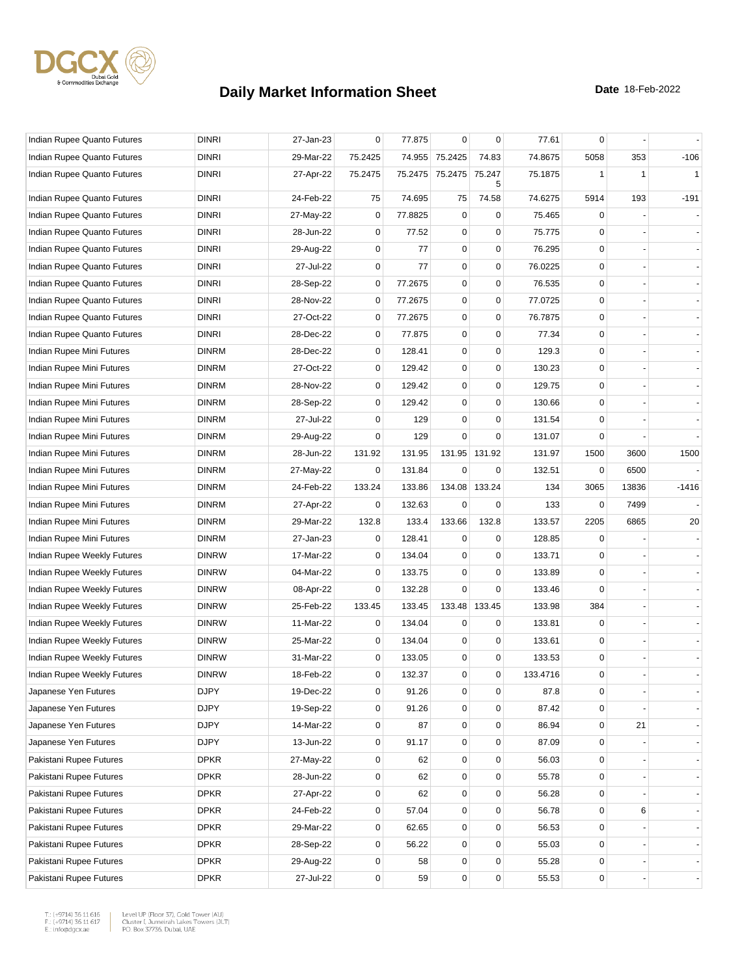

| Indian Rupee Quanto Futures | <b>DINRI</b> | 27-Jan-23 | $\mathbf 0$ | 77.875  | $\mathbf 0$      | $\mathbf 0$ | 77.61    | 0              |              |              |
|-----------------------------|--------------|-----------|-------------|---------|------------------|-------------|----------|----------------|--------------|--------------|
| Indian Rupee Quanto Futures | <b>DINRI</b> | 29-Mar-22 | 75.2425     |         | 74.955 75.2425   | 74.83       | 74.8675  | 5058           | 353          | $-106$       |
| Indian Rupee Quanto Futures | <b>DINRI</b> | 27-Apr-22 | 75.2475     | 75.2475 | 75.2475          | 75.247<br>5 | 75.1875  | 1              | $\mathbf{1}$ | $\mathbf{1}$ |
| Indian Rupee Quanto Futures | <b>DINRI</b> | 24-Feb-22 | 75          | 74.695  | 75               | 74.58       | 74.6275  | 5914           | 193          | $-191$       |
| Indian Rupee Quanto Futures | <b>DINRI</b> | 27-May-22 | $\mathbf 0$ | 77.8825 | $\mathbf 0$      | $\mathbf 0$ | 75.465   | $\Omega$       |              |              |
| Indian Rupee Quanto Futures | <b>DINRI</b> | 28-Jun-22 | $\mathbf 0$ | 77.52   | $\mathbf 0$      | $\pmb{0}$   | 75.775   | $\Omega$       |              |              |
| Indian Rupee Quanto Futures | <b>DINRI</b> | 29-Aug-22 | 0           | 77      | $\mathbf 0$      | $\pmb{0}$   | 76.295   | 0              |              |              |
| Indian Rupee Quanto Futures | <b>DINRI</b> | 27-Jul-22 | $\mathbf 0$ | 77      | $\mathbf 0$      | $\mathbf 0$ | 76.0225  | $\mathbf 0$    |              |              |
| Indian Rupee Quanto Futures | <b>DINRI</b> | 28-Sep-22 | $\mathbf 0$ | 77.2675 | $\mathbf 0$      | $\mathbf 0$ | 76.535   | $\mathbf 0$    |              |              |
| Indian Rupee Quanto Futures | <b>DINRI</b> | 28-Nov-22 | $\mathbf 0$ | 77.2675 | $\pmb{0}$        | $\pmb{0}$   | 77.0725  | 0              |              |              |
| Indian Rupee Quanto Futures | <b>DINRI</b> | 27-Oct-22 | 0           | 77.2675 | $\mathbf 0$      | $\pmb{0}$   | 76.7875  | $\mathbf 0$    |              |              |
| Indian Rupee Quanto Futures | <b>DINRI</b> | 28-Dec-22 | 0           | 77.875  | 0                | $\mathbf 0$ | 77.34    | 0              |              |              |
| Indian Rupee Mini Futures   | <b>DINRM</b> | 28-Dec-22 | $\mathbf 0$ | 128.41  | $\mathbf 0$      | $\mathbf 0$ | 129.3    | 0              |              |              |
| Indian Rupee Mini Futures   | <b>DINRM</b> | 27-Oct-22 | $\mathbf 0$ | 129.42  | $\mathbf 0$      | $\pmb{0}$   | 130.23   | $\mathbf 0$    |              |              |
| Indian Rupee Mini Futures   | <b>DINRM</b> | 28-Nov-22 | $\mathbf 0$ | 129.42  | $\pmb{0}$        | $\pmb{0}$   | 129.75   | 0              |              |              |
| Indian Rupee Mini Futures   | <b>DINRM</b> | 28-Sep-22 | $\mathbf 0$ | 129.42  | $\mathbf 0$      | $\pmb{0}$   | 130.66   | 0              |              |              |
| Indian Rupee Mini Futures   | <b>DINRM</b> | 27-Jul-22 | 0           | 129     | $\mathbf 0$      | $\mathbf 0$ | 131.54   | 0              |              |              |
| Indian Rupee Mini Futures   | <b>DINRM</b> | 29-Aug-22 | 0           | 129     | $\mathbf 0$      | $\mathbf 0$ | 131.07   | 0              |              |              |
| Indian Rupee Mini Futures   | <b>DINRM</b> | 28-Jun-22 | 131.92      | 131.95  | 131.95           | 131.92      | 131.97   | 1500           | 3600         | 1500         |
| Indian Rupee Mini Futures   | <b>DINRM</b> | 27-May-22 | 0           | 131.84  | $\mathbf 0$      | $\mathbf 0$ | 132.51   | 0              | 6500         |              |
| Indian Rupee Mini Futures   | <b>DINRM</b> | 24-Feb-22 | 133.24      | 133.86  | 134.08           | 133.24      | 134      | 3065           | 13836        | $-1416$      |
| Indian Rupee Mini Futures   | <b>DINRM</b> | 27-Apr-22 | 0           | 132.63  | $\mathbf 0$      | 0           | 133      | $\mathbf 0$    | 7499         |              |
| Indian Rupee Mini Futures   | <b>DINRM</b> | 29-Mar-22 | 132.8       | 133.4   | 133.66           | 132.8       | 133.57   | 2205           | 6865         | 20           |
| Indian Rupee Mini Futures   | <b>DINRM</b> | 27-Jan-23 | 0           | 128.41  | 0                | $\mathbf 0$ | 128.85   | 0              |              |              |
| Indian Rupee Weekly Futures | <b>DINRW</b> | 17-Mar-22 | $\mathbf 0$ | 134.04  | 0                | $\mathbf 0$ | 133.71   | 0              |              |              |
| Indian Rupee Weekly Futures | <b>DINRW</b> | 04-Mar-22 | $\mathbf 0$ | 133.75  | $\mathbf 0$      | $\mathbf 0$ | 133.89   | 0              |              |              |
| Indian Rupee Weekly Futures | <b>DINRW</b> | 08-Apr-22 | 0           | 132.28  | $\mathbf 0$      | $\mathbf 0$ | 133.46   | $\Omega$       |              |              |
| Indian Rupee Weekly Futures | <b>DINRW</b> | 25-Feb-22 | 133.45      | 133.45  | 133.48           | 133.45      | 133.98   | 384            |              |              |
| Indian Rupee Weekly Futures | <b>DINRW</b> | 11-Mar-22 | $\mathbf 0$ | 134.04  | $\mathbf 0$      | $\mathbf 0$ | 133.81   | $\mathbf 0$    |              |              |
| Indian Rupee Weekly Futures | <b>DINRW</b> | 25-Mar-22 | $\mathbf 0$ | 134.04  | $\mathbf 0$      | $\pmb{0}$   | 133.61   | 0              |              |              |
| Indian Rupee Weekly Futures | <b>DINRW</b> | 31-Mar-22 | $\mathbf 0$ | 133.05  | $\mathbf 0$      | $\pmb{0}$   | 133.53   | $\mathbf 0$    |              |              |
| Indian Rupee Weekly Futures | <b>DINRW</b> | 18-Feb-22 | 0           | 132.37  | $\mathbf 0$      | $\mathbf 0$ | 133.4716 | 0              |              |              |
| Japanese Yen Futures        | <b>DJPY</b>  | 19-Dec-22 | $\pmb{0}$   | 91.26   | $\mathbf 0$      | $\pmb{0}$   | 87.8     | 0              |              |              |
| Japanese Yen Futures        | <b>DJPY</b>  | 19-Sep-22 | 0           | 91.26   | $\mathbf 0$      | $\pmb{0}$   | 87.42    | $\overline{0}$ |              |              |
| Japanese Yen Futures        | <b>DJPY</b>  | 14-Mar-22 | 0           | 87      | $\mathbf 0$      | $\mathbf 0$ | 86.94    | $\mathbf 0$    | 21           |              |
| Japanese Yen Futures        | <b>DJPY</b>  | 13-Jun-22 | $\pmb{0}$   | 91.17   | $\mathbf 0$      | $\pmb{0}$   | 87.09    | 0              |              |              |
| Pakistani Rupee Futures     | DPKR         | 27-May-22 | $\mathbf 0$ | 62      | $\mathbf 0$      | $\pmb{0}$   | 56.03    | 0              |              |              |
| Pakistani Rupee Futures     | <b>DPKR</b>  | 28-Jun-22 | $\mathbf 0$ | 62      | $\mathbf 0$      | $\pmb{0}$   | 55.78    | 0              |              |              |
| Pakistani Rupee Futures     | <b>DPKR</b>  | 27-Apr-22 | 0           | 62      | $\mathbf 0$      | $\mathbf 0$ | 56.28    | 0              |              |              |
| Pakistani Rupee Futures     | <b>DPKR</b>  | 24-Feb-22 | 0           | 57.04   | $\mathbf 0$      | $\pmb{0}$   | 56.78    | 0              | 6            |              |
| Pakistani Rupee Futures     | <b>DPKR</b>  | 29-Mar-22 | 0           | 62.65   | $\mathbf 0$      | $\pmb{0}$   | 56.53    | 0              |              |              |
| Pakistani Rupee Futures     | <b>DPKR</b>  | 28-Sep-22 | $\mathbf 0$ | 56.22   | 0                | $\mathbf 0$ | 55.03    | 0              |              |              |
| Pakistani Rupee Futures     | <b>DPKR</b>  | 29-Aug-22 | 0           | 58      | $\mathbf 0$      | $\pmb{0}$   | 55.28    | 0              |              |              |
| Pakistani Rupee Futures     | <b>DPKR</b>  | 27-Jul-22 | 0           | 59      | $\boldsymbol{0}$ | $\pmb{0}$   | 55.53    | 0              |              |              |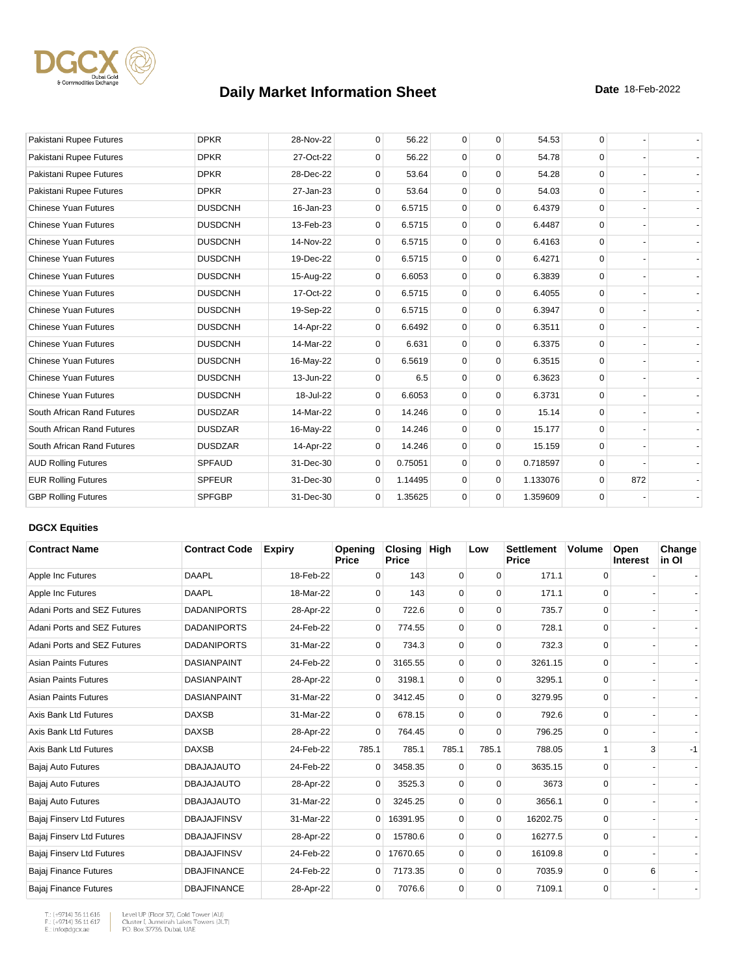

| Pakistani Rupee Futures     | <b>DPKR</b>    | 28-Nov-22 | $\mathbf 0$  | 56.22   | $\mathbf 0$ | $\mathbf 0$ | 54.53    | 0        |     |  |
|-----------------------------|----------------|-----------|--------------|---------|-------------|-------------|----------|----------|-----|--|
| Pakistani Rupee Futures     | <b>DPKR</b>    | 27-Oct-22 | $\Omega$     | 56.22   | $\mathbf 0$ | $\Omega$    | 54.78    | $\Omega$ |     |  |
| Pakistani Rupee Futures     | <b>DPKR</b>    | 28-Dec-22 | $\Omega$     | 53.64   | $\Omega$    | $\Omega$    | 54.28    | $\Omega$ |     |  |
| Pakistani Rupee Futures     | <b>DPKR</b>    | 27-Jan-23 | 0            | 53.64   | $\mathbf 0$ | $\mathbf 0$ | 54.03    | $\Omega$ |     |  |
| <b>Chinese Yuan Futures</b> | <b>DUSDCNH</b> | 16-Jan-23 | $\mathbf{0}$ | 6.5715  | $\mathbf 0$ | $\mathbf 0$ | 6.4379   | $\Omega$ |     |  |
| <b>Chinese Yuan Futures</b> | <b>DUSDCNH</b> | 13-Feb-23 | 0            | 6.5715  | $\mathbf 0$ | $\mathbf 0$ | 6.4487   | $\Omega$ |     |  |
| <b>Chinese Yuan Futures</b> | <b>DUSDCNH</b> | 14-Nov-22 | 0            | 6.5715  | $\mathbf 0$ | $\mathbf 0$ | 6.4163   | $\Omega$ |     |  |
| <b>Chinese Yuan Futures</b> | <b>DUSDCNH</b> | 19-Dec-22 | 0            | 6.5715  | $\mathbf 0$ | $\mathbf 0$ | 6.4271   | $\Omega$ |     |  |
| <b>Chinese Yuan Futures</b> | <b>DUSDCNH</b> | 15-Aug-22 | $\Omega$     | 6.6053  | 0           | $\mathbf 0$ | 6.3839   | $\Omega$ |     |  |
| <b>Chinese Yuan Futures</b> | <b>DUSDCNH</b> | 17-Oct-22 | $\mathbf{0}$ | 6.5715  | $\mathbf 0$ | $\mathbf 0$ | 6.4055   | $\Omega$ |     |  |
| <b>Chinese Yuan Futures</b> | <b>DUSDCNH</b> | 19-Sep-22 | 0            | 6.5715  | $\mathbf 0$ | $\mathbf 0$ | 6.3947   | $\Omega$ |     |  |
| <b>Chinese Yuan Futures</b> | <b>DUSDCNH</b> | 14-Apr-22 | 0            | 6.6492  | $\mathbf 0$ | $\mathbf 0$ | 6.3511   | $\Omega$ |     |  |
| <b>Chinese Yuan Futures</b> | <b>DUSDCNH</b> | 14-Mar-22 | $\mathbf 0$  | 6.631   | $\mathbf 0$ | $\mathbf 0$ | 6.3375   | $\Omega$ |     |  |
| Chinese Yuan Futures        | <b>DUSDCNH</b> | 16-May-22 | $\Omega$     | 6.5619  | $\Omega$    | $\mathbf 0$ | 6.3515   | $\Omega$ |     |  |
| <b>Chinese Yuan Futures</b> | <b>DUSDCNH</b> | 13-Jun-22 | $\mathbf 0$  | 6.5     | $\mathbf 0$ | $\mathbf 0$ | 6.3623   | $\Omega$ |     |  |
| Chinese Yuan Futures        | <b>DUSDCNH</b> | 18-Jul-22 | 0            | 6.6053  | $\mathbf 0$ | $\Omega$    | 6.3731   | $\Omega$ |     |  |
| South African Rand Futures  | <b>DUSDZAR</b> | 14-Mar-22 | $\Omega$     | 14.246  | $\Omega$    | $\Omega$    | 15.14    | $\Omega$ |     |  |
| South African Rand Futures  | <b>DUSDZAR</b> | 16-May-22 | $\mathbf 0$  | 14.246  | $\mathbf 0$ | $\mathbf 0$ | 15.177   | $\Omega$ |     |  |
| South African Rand Futures  | <b>DUSDZAR</b> | 14-Apr-22 | $\Omega$     | 14.246  | $\mathbf 0$ | $\mathbf 0$ | 15.159   | $\Omega$ |     |  |
| <b>AUD Rolling Futures</b>  | <b>SPFAUD</b>  | 31-Dec-30 | $\mathbf 0$  | 0.75051 | $\mathbf 0$ | $\mathbf 0$ | 0.718597 | $\Omega$ |     |  |
| <b>EUR Rolling Futures</b>  | <b>SPFEUR</b>  | 31-Dec-30 | $\Omega$     | 1.14495 | $\mathbf 0$ | $\mathbf 0$ | 1.133076 | $\Omega$ | 872 |  |
| <b>GBP Rolling Futures</b>  | <b>SPFGBP</b>  | 31-Dec-30 | $\mathbf{0}$ | 1.35625 | $\mathbf 0$ | $\mathbf 0$ | 1.359609 | 0        |     |  |

### **DGCX Equities**

| <b>Contract Name</b>         | <b>Contract Code</b> | <b>Expiry</b> | Opening<br><b>Price</b> | Closing<br><b>Price</b> | <b>High</b> | Low         | <b>Settlement</b><br>Price | <b>Volume</b> | Open<br>Interest | Change<br>in OI |
|------------------------------|----------------------|---------------|-------------------------|-------------------------|-------------|-------------|----------------------------|---------------|------------------|-----------------|
| Apple Inc Futures            | <b>DAAPL</b>         | 18-Feb-22     | $\Omega$                | 143                     | 0           | $\Omega$    | 171.1                      | 0             |                  |                 |
| Apple Inc Futures            | <b>DAAPL</b>         | 18-Mar-22     | $\Omega$                | 143                     | 0           | $\Omega$    | 171.1                      | 0             |                  |                 |
| Adani Ports and SEZ Futures  | <b>DADANIPORTS</b>   | 28-Apr-22     | 0                       | 722.6                   | $\mathbf 0$ | 0           | 735.7                      | 0             |                  |                 |
| Adani Ports and SEZ Futures  | <b>DADANIPORTS</b>   | 24-Feb-22     | $\mathbf 0$             | 774.55                  | 0           | $\Omega$    | 728.1                      | 0             |                  |                 |
| Adani Ports and SEZ Futures  | <b>DADANIPORTS</b>   | 31-Mar-22     | $\Omega$                | 734.3                   | 0           | 0           | 732.3                      | 0             |                  |                 |
| <b>Asian Paints Futures</b>  | <b>DASIANPAINT</b>   | 24-Feb-22     | $\Omega$                | 3165.55                 | 0           | $\Omega$    | 3261.15                    | 0             |                  |                 |
| <b>Asian Paints Futures</b>  | <b>DASIANPAINT</b>   | 28-Apr-22     | $\Omega$                | 3198.1                  | 0           | $\Omega$    | 3295.1                     | $\Omega$      |                  |                 |
| <b>Asian Paints Futures</b>  | <b>DASIANPAINT</b>   | 31-Mar-22     | $\overline{0}$          | 3412.45                 | $\mathbf 0$ | $\mathbf 0$ | 3279.95                    | 0             |                  |                 |
| Axis Bank Ltd Futures        | <b>DAXSB</b>         | 31-Mar-22     | 0                       | 678.15                  | $\mathbf 0$ | 0           | 792.6                      | 0             |                  |                 |
| Axis Bank Ltd Futures        | <b>DAXSB</b>         | 28-Apr-22     | $\Omega$                | 764.45                  | $\Omega$    | $\Omega$    | 796.25                     | 0             |                  |                 |
| Axis Bank Ltd Futures        | <b>DAXSB</b>         | 24-Feb-22     | 785.1                   | 785.1                   | 785.1       | 785.1       | 788.05                     |               | 3                | $-1$            |
| Bajaj Auto Futures           | <b>DBAJAJAUTO</b>    | 24-Feb-22     | 0                       | 3458.35                 | 0           | $\Omega$    | 3635.15                    | $\mathbf 0$   |                  |                 |
| Bajaj Auto Futures           | <b>DBAJAJAUTO</b>    | 28-Apr-22     | $\Omega$                | 3525.3                  | $\Omega$    | $\Omega$    | 3673                       | $\Omega$      |                  |                 |
| Bajaj Auto Futures           | <b>DBAJAJAUTO</b>    | 31-Mar-22     | $\mathbf{0}$            | 3245.25                 | $\mathbf 0$ | 0           | 3656.1                     | 0             |                  |                 |
| Bajaj Finserv Ltd Futures    | <b>DBAJAJFINSV</b>   | 31-Mar-22     | $\overline{0}$          | 16391.95                | 0           | 0           | 16202.75                   | 0             |                  |                 |
| Bajaj Finserv Ltd Futures    | <b>DBAJAJFINSV</b>   | 28-Apr-22     | 0                       | 15780.6                 | 0           | $\Omega$    | 16277.5                    | 0             |                  |                 |
| Bajaj Finserv Ltd Futures    | <b>DBAJAJFINSV</b>   | 24-Feb-22     | $\overline{0}$          | 17670.65                | $\mathbf 0$ | $\Omega$    | 16109.8                    | 0             |                  |                 |
| Bajaj Finance Futures        | <b>DBAJFINANCE</b>   | 24-Feb-22     | 0                       | 7173.35                 | 0           | $\Omega$    | 7035.9                     | 0             | 6                |                 |
| <b>Bajaj Finance Futures</b> | <b>DBAJFINANCE</b>   | 28-Apr-22     | $\mathbf 0$             | 7076.6                  | 0           | $\Omega$    | 7109.1                     | 0             |                  |                 |

T.: (+9714) 36 11 616<br>F.: (+9714) 36 11 617<br>E.: info@dgcx.ae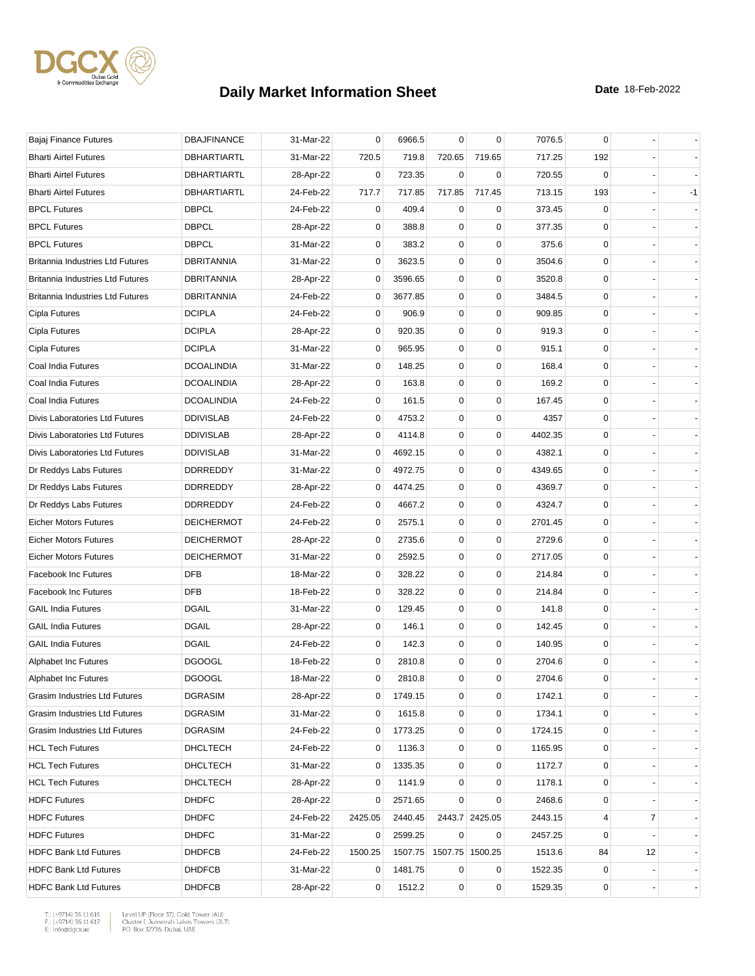

| Bajaj Finance Futures                   | <b>DBAJFINANCE</b> | 31-Mar-22 | 0              | 6966.5  | 0           | 0               | 7076.5  | 0           |    |    |
|-----------------------------------------|--------------------|-----------|----------------|---------|-------------|-----------------|---------|-------------|----|----|
| <b>Bharti Airtel Futures</b>            | <b>DBHARTIARTL</b> | 31-Mar-22 | 720.5          | 719.8   | 720.65      | 719.65          | 717.25  | 192         |    |    |
| <b>Bharti Airtel Futures</b>            | DBHARTIARTL        | 28-Apr-22 | 0              | 723.35  | 0           | 0               | 720.55  | 0           |    |    |
| <b>Bharti Airtel Futures</b>            | <b>DBHARTIARTL</b> | 24-Feb-22 | 717.7          | 717.85  | 717.85      | 717.45          | 713.15  | 193         |    | -1 |
| <b>BPCL Futures</b>                     | <b>DBPCL</b>       | 24-Feb-22 | 0              | 409.4   | 0           | 0               | 373.45  | 0           |    |    |
| <b>BPCL Futures</b>                     | <b>DBPCL</b>       | 28-Apr-22 | $\overline{0}$ | 388.8   | $\mathbf 0$ | $\mathbf 0$     | 377.35  | 0           |    |    |
| <b>BPCL Futures</b>                     | <b>DBPCL</b>       | 31-Mar-22 | 0              | 383.2   | 0           | 0               | 375.6   | 0           |    |    |
| <b>Britannia Industries Ltd Futures</b> | <b>DBRITANNIA</b>  | 31-Mar-22 | 0              | 3623.5  | 0           | $\mathbf 0$     | 3504.6  | 0           |    |    |
| <b>Britannia Industries Ltd Futures</b> | DBRITANNIA         | 28-Apr-22 | 0              | 3596.65 | 0           | $\mathbf 0$     | 3520.8  | 0           |    |    |
| <b>Britannia Industries Ltd Futures</b> | <b>DBRITANNIA</b>  | 24-Feb-22 | 0              | 3677.85 | 0           | 0               | 3484.5  | 0           |    |    |
| Cipla Futures                           | <b>DCIPLA</b>      | 24-Feb-22 | 0              | 906.9   | 0           | $\mathbf 0$     | 909.85  | $\mathbf 0$ |    |    |
| Cipla Futures                           | <b>DCIPLA</b>      | 28-Apr-22 | 0              | 920.35  | 0           | $\mathbf 0$     | 919.3   | 0           |    |    |
| Cipla Futures                           | <b>DCIPLA</b>      | 31-Mar-22 | 0              | 965.95  | 0           | 0               | 915.1   | 0           |    |    |
| Coal India Futures                      | <b>DCOALINDIA</b>  | 31-Mar-22 | 0              | 148.25  | 0           | $\mathbf 0$     | 168.4   | 0           |    |    |
| Coal India Futures                      | <b>DCOALINDIA</b>  | 28-Apr-22 | 0              | 163.8   | 0           | $\mathbf 0$     | 169.2   | 0           |    |    |
| Coal India Futures                      | <b>DCOALINDIA</b>  | 24-Feb-22 | 0              | 161.5   | 0           | $\mathbf 0$     | 167.45  | 0           |    |    |
| Divis Laboratories Ltd Futures          | <b>DDIVISLAB</b>   | 24-Feb-22 | 0              | 4753.2  | 0           | $\mathbf 0$     | 4357    | 0           |    |    |
| Divis Laboratories Ltd Futures          | <b>DDIVISLAB</b>   | 28-Apr-22 | 0              | 4114.8  | 0           | $\mathbf 0$     | 4402.35 | 0           |    |    |
| Divis Laboratories Ltd Futures          | <b>DDIVISLAB</b>   | 31-Mar-22 | 0              | 4692.15 | 0           | 0               | 4382.1  | 0           |    |    |
| Dr Reddys Labs Futures                  | <b>DDRREDDY</b>    | 31-Mar-22 | 0              | 4972.75 | 0           | 0               | 4349.65 | 0           |    |    |
| Dr Reddys Labs Futures                  | <b>DDRREDDY</b>    | 28-Apr-22 | 0              | 4474.25 | 0           | $\mathbf 0$     | 4369.7  | 0           |    |    |
| Dr Reddys Labs Futures                  | <b>DDRREDDY</b>    | 24-Feb-22 | 0              | 4667.2  | 0           | $\mathbf 0$     | 4324.7  | 0           |    |    |
| <b>Eicher Motors Futures</b>            | <b>DEICHERMOT</b>  | 24-Feb-22 | 0              | 2575.1  | 0           | $\mathbf 0$     | 2701.45 | 0           |    |    |
| <b>Eicher Motors Futures</b>            | <b>DEICHERMOT</b>  | 28-Apr-22 | 0              | 2735.6  | 0           | 0               | 2729.6  | 0           |    |    |
| <b>Eicher Motors Futures</b>            | <b>DEICHERMOT</b>  | 31-Mar-22 | 0              | 2592.5  | 0           | $\mathbf 0$     | 2717.05 | 0           |    |    |
| <b>Facebook Inc Futures</b>             | <b>DFB</b>         | 18-Mar-22 | 0              | 328.22  | 0           | $\mathbf 0$     | 214.84  | 0           |    |    |
| <b>Facebook Inc Futures</b>             | <b>DFB</b>         | 18-Feb-22 | 0              | 328.22  | 0           | 0               | 214.84  | 0           |    |    |
| <b>GAIL India Futures</b>               | <b>DGAIL</b>       | 31-Mar-22 | 0              | 129.45  | 0           | $\mathbf 0$     | 141.8   | 0           |    |    |
| <b>GAIL India Futures</b>               | <b>DGAIL</b>       | 28-Apr-22 | $\overline{0}$ | 146.1   | 0           | $\mathbf 0$     | 142.45  | 0           |    |    |
| <b>GAIL India Futures</b>               | <b>DGAIL</b>       | 24-Feb-22 | 0              | 142.3   | 0           | 0               | 140.95  | 0           |    |    |
| Alphabet Inc Futures                    | <b>DGOOGL</b>      | 18-Feb-22 | 0              | 2810.8  | 0           | $\mathbf 0$     | 2704.6  | 0           |    |    |
| Alphabet Inc Futures                    | <b>DGOOGL</b>      | 18-Mar-22 | $\overline{0}$ | 2810.8  | $\Omega$    | $\mathbf 0$     | 2704.6  | $\mathbf 0$ |    |    |
| Grasim Industries Ltd Futures           | <b>DGRASIM</b>     | 28-Apr-22 | 0              | 1749.15 | 0           | 0               | 1742.1  | 0           |    |    |
| Grasim Industries Ltd Futures           | DGRASIM            | 31-Mar-22 | 0              | 1615.8  | 0           | 0               | 1734.1  | 0           |    |    |
| Grasim Industries Ltd Futures           | <b>DGRASIM</b>     | 24-Feb-22 | 0              | 1773.25 | 0           | 0               | 1724.15 | 0           |    |    |
| <b>HCL Tech Futures</b>                 | DHCLTECH           | 24-Feb-22 | 0              | 1136.3  | 0           | 0               | 1165.95 | 0           |    |    |
| <b>HCL Tech Futures</b>                 | DHCLTECH           | 31-Mar-22 | 0              | 1335.35 | 0           | $\mathbf 0$     | 1172.7  | 0           |    |    |
| <b>HCL Tech Futures</b>                 | <b>DHCLTECH</b>    | 28-Apr-22 | 0              | 1141.9  | 0           | 0               | 1178.1  | 0           |    |    |
| <b>HDFC Futures</b>                     | <b>DHDFC</b>       | 28-Apr-22 | 0              | 2571.65 | 0           | 0               | 2468.6  | 0           |    |    |
| <b>HDFC Futures</b>                     | <b>DHDFC</b>       | 24-Feb-22 | 2425.05        | 2440.45 |             | 2443.7 2425.05  | 2443.15 | 4           | 7  |    |
| <b>HDFC Futures</b>                     | <b>DHDFC</b>       | 31-Mar-22 | 0              | 2599.25 | 0           | 0               | 2457.25 | 0           |    |    |
| <b>HDFC Bank Ltd Futures</b>            | <b>DHDFCB</b>      | 24-Feb-22 | 1500.25        | 1507.75 |             | 1507.75 1500.25 | 1513.6  | 84          | 12 |    |
| <b>HDFC Bank Ltd Futures</b>            | <b>DHDFCB</b>      | 31-Mar-22 | 0              | 1481.75 | 0           | 0               | 1522.35 | 0           |    |    |
| <b>HDFC Bank Ltd Futures</b>            | <b>DHDFCB</b>      | 28-Apr-22 | 0              | 1512.2  | 0           | $\pmb{0}$       | 1529.35 | 0           |    |    |
|                                         |                    |           |                |         |             |                 |         |             |    |    |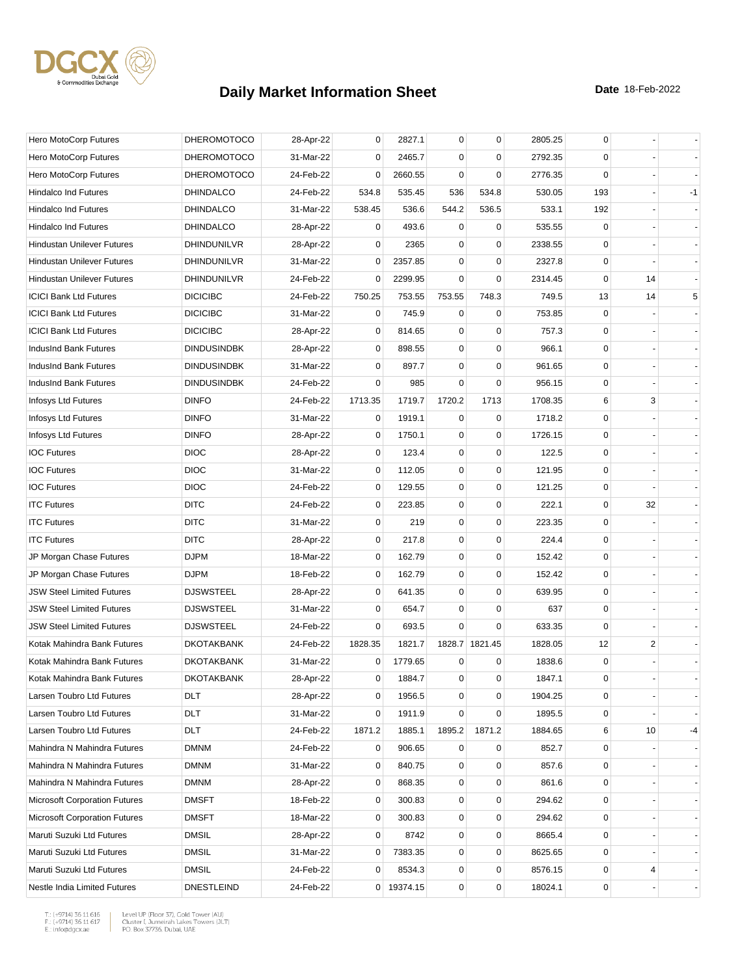

| Hero MotoCorp Futures                | <b>DHEROMOTOCO</b> | 28-Apr-22 | 0           | 2827.1     | $\mathbf 0$ | $\mathbf 0$    | 2805.25 | 0           |    |      |
|--------------------------------------|--------------------|-----------|-------------|------------|-------------|----------------|---------|-------------|----|------|
| Hero MotoCorp Futures                | <b>DHEROMOTOCO</b> | 31-Mar-22 | 0           | 2465.7     | 0           | 0              | 2792.35 | 0           |    |      |
| Hero MotoCorp Futures                | <b>DHEROMOTOCO</b> | 24-Feb-22 | 0           | 2660.55    | $\mathbf 0$ | $\mathbf 0$    | 2776.35 | $\mathbf 0$ |    |      |
| <b>Hindalco Ind Futures</b>          | <b>DHINDALCO</b>   | 24-Feb-22 | 534.8       | 535.45     | 536         | 534.8          | 530.05  | 193         |    | $-1$ |
| <b>Hindalco Ind Futures</b>          | <b>DHINDALCO</b>   | 31-Mar-22 | 538.45      | 536.6      | 544.2       | 536.5          | 533.1   | 192         |    |      |
| <b>Hindalco Ind Futures</b>          | <b>DHINDALCO</b>   | 28-Apr-22 | 0           | 493.6      | 0           | 0              | 535.55  | 0           |    |      |
| <b>Hindustan Unilever Futures</b>    | DHINDUNILVR        | 28-Apr-22 | $\mathbf 0$ | 2365       | 0           | $\mathbf 0$    | 2338.55 | 0           |    |      |
| <b>Hindustan Unilever Futures</b>    | <b>DHINDUNILVR</b> | 31-Mar-22 | $\mathbf 0$ | 2357.85    | $\mathbf 0$ | 0              | 2327.8  | 0           |    |      |
| <b>Hindustan Unilever Futures</b>    | <b>DHINDUNILVR</b> | 24-Feb-22 | 0           | 2299.95    | $\mathbf 0$ | $\mathbf 0$    | 2314.45 | 0           | 14 |      |
| <b>ICICI Bank Ltd Futures</b>        | <b>DICICIBC</b>    | 24-Feb-22 | 750.25      | 753.55     | 753.55      | 748.3          | 749.5   | 13          | 14 | 5    |
| <b>ICICI Bank Ltd Futures</b>        | <b>DICICIBC</b>    | 31-Mar-22 | $\mathbf 0$ | 745.9      | $\mathbf 0$ | 0              | 753.85  | 0           |    |      |
| <b>ICICI Bank Ltd Futures</b>        | <b>DICICIBC</b>    | 28-Apr-22 | 0           | 814.65     | $\mathbf 0$ | $\mathbf 0$    | 757.3   | 0           |    |      |
| IndusInd Bank Futures                | <b>DINDUSINDBK</b> | 28-Apr-22 | 0           | 898.55     | 0           | 0              | 966.1   | 0           |    |      |
| IndusInd Bank Futures                | <b>DINDUSINDBK</b> | 31-Mar-22 | 0           | 897.7      | 0           | $\mathbf 0$    | 961.65  | 0           |    |      |
| IndusInd Bank Futures                | <b>DINDUSINDBK</b> | 24-Feb-22 | 0           | 985        | $\mathbf 0$ | $\mathbf 0$    | 956.15  | 0           |    |      |
| Infosys Ltd Futures                  | <b>DINFO</b>       | 24-Feb-22 | 1713.35     | 1719.7     | 1720.2      | 1713           | 1708.35 | 6           | 3  |      |
| Infosys Ltd Futures                  | <b>DINFO</b>       | 31-Mar-22 | 0           | 1919.1     | $\mathbf 0$ | $\mathbf 0$    | 1718.2  | $\mathbf 0$ |    |      |
| Infosys Ltd Futures                  | <b>DINFO</b>       | 28-Apr-22 | 0           | 1750.1     | 0           | $\mathbf 0$    | 1726.15 | 0           |    |      |
| <b>IOC Futures</b>                   | <b>DIOC</b>        | 28-Apr-22 | 0           | 123.4      | 0           | 0              | 122.5   | 0           |    |      |
| <b>IOC Futures</b>                   | <b>DIOC</b>        | 31-Mar-22 | $\mathbf 0$ | 112.05     | 0           | $\mathbf 0$    | 121.95  | 0           |    |      |
| <b>IOC Futures</b>                   | <b>DIOC</b>        | 24-Feb-22 | 0           | 129.55     | 0           | $\mathbf 0$    | 121.25  | 0           |    |      |
| <b>ITC Futures</b>                   | <b>DITC</b>        | 24-Feb-22 | 0           | 223.85     | 0           | $\mathbf 0$    | 222.1   | 0           | 32 |      |
| <b>ITC Futures</b>                   | <b>DITC</b>        | 31-Mar-22 | $\mathbf 0$ | 219        | 0           | $\mathbf 0$    | 223.35  | 0           |    |      |
| <b>ITC Futures</b>                   | <b>DITC</b>        | 28-Apr-22 | 0           | 217.8      | 0           | $\mathbf 0$    | 224.4   | 0           |    |      |
| JP Morgan Chase Futures              | <b>DJPM</b>        | 18-Mar-22 | 0           | 162.79     | 0           | $\mathbf 0$    | 152.42  | $\mathbf 0$ |    |      |
| JP Morgan Chase Futures              | <b>DJPM</b>        | 18-Feb-22 | 0           | 162.79     | 0           | $\mathbf 0$    | 152.42  | 0           |    |      |
| <b>JSW Steel Limited Futures</b>     | <b>DJSWSTEEL</b>   | 28-Apr-22 | 0           | 641.35     | 0           | $\mathbf 0$    | 639.95  | 0           |    |      |
| <b>JSW Steel Limited Futures</b>     | <b>DJSWSTEEL</b>   | 31-Mar-22 | $\mathbf 0$ | 654.7      | $\mathbf 0$ | $\mathbf 0$    | 637     | 0           |    |      |
| <b>JSW Steel Limited Futures</b>     | <b>DJSWSTEEL</b>   | 24-Feb-22 | $\mathbf 0$ | 693.5      | $\Omega$    | $\mathbf 0$    | 633.35  | $\mathbf 0$ |    |      |
| Kotak Mahindra Bank Futures          | <b>DKOTAKBANK</b>  | 24-Feb-22 | 1828.35     | 1821.7     |             | 1828.7 1821.45 | 1828.05 | 12          | 2  |      |
| Kotak Mahindra Bank Futures          | <b>DKOTAKBANK</b>  | 31-Mar-22 | 0           | 1779.65    | 0           | 0              | 1838.6  | 0           |    |      |
| Kotak Mahindra Bank Futures          | <b>DKOTAKBANK</b>  | 28-Apr-22 | $\mathbf 0$ | 1884.7     | $\mathbf 0$ | $\mathbf 0$    | 1847.1  | $\mathbf 0$ |    |      |
| Larsen Toubro Ltd Futures            | <b>DLT</b>         | 28-Apr-22 | 0           | 1956.5     | 0           | 0              | 1904.25 | 0           |    |      |
| Larsen Toubro Ltd Futures            | <b>DLT</b>         | 31-Mar-22 | 0           | 1911.9     | 0           | $\mathbf 0$    | 1895.5  | 0           |    |      |
| Larsen Toubro Ltd Futures            | DLT                | 24-Feb-22 | 1871.2      | 1885.1     | 1895.2      | 1871.2         | 1884.65 | 6           | 10 | -4   |
| Mahindra N Mahindra Futures          | <b>DMNM</b>        | 24-Feb-22 | 0           | 906.65     | 0           | 0              | 852.7   | 0           |    |      |
| Mahindra N Mahindra Futures          | <b>DMNM</b>        | 31-Mar-22 | 0           | 840.75     | 0           | $\mathbf 0$    | 857.6   | 0           |    |      |
| Mahindra N Mahindra Futures          | <b>DMNM</b>        | 28-Apr-22 | 0           | 868.35     | 0           | $\mathbf 0$    | 861.6   | 0           |    |      |
| <b>Microsoft Corporation Futures</b> | <b>DMSFT</b>       | 18-Feb-22 | 0           | 300.83     | 0           | 0              | 294.62  | 0           |    |      |
| <b>Microsoft Corporation Futures</b> | <b>DMSFT</b>       | 18-Mar-22 | 0           | 300.83     | 0           | $\mathbf 0$    | 294.62  | 0           |    |      |
| Maruti Suzuki Ltd Futures            | <b>DMSIL</b>       | 28-Apr-22 | 0           | 8742       | 0           | $\pmb{0}$      | 8665.4  | 0           |    |      |
| Maruti Suzuki Ltd Futures            | <b>DMSIL</b>       | 31-Mar-22 | 0           | 7383.35    | 0           | 0              | 8625.65 | 0           |    |      |
| Maruti Suzuki Ltd Futures            | <b>DMSIL</b>       | 24-Feb-22 | 0           | 8534.3     | 0           | $\pmb{0}$      | 8576.15 | 0           | 4  |      |
| Nestle India Limited Futures         | <b>DNESTLEIND</b>  | 24-Feb-22 |             | 0 19374.15 | 0           | $\pmb{0}$      | 18024.1 | 0           |    |      |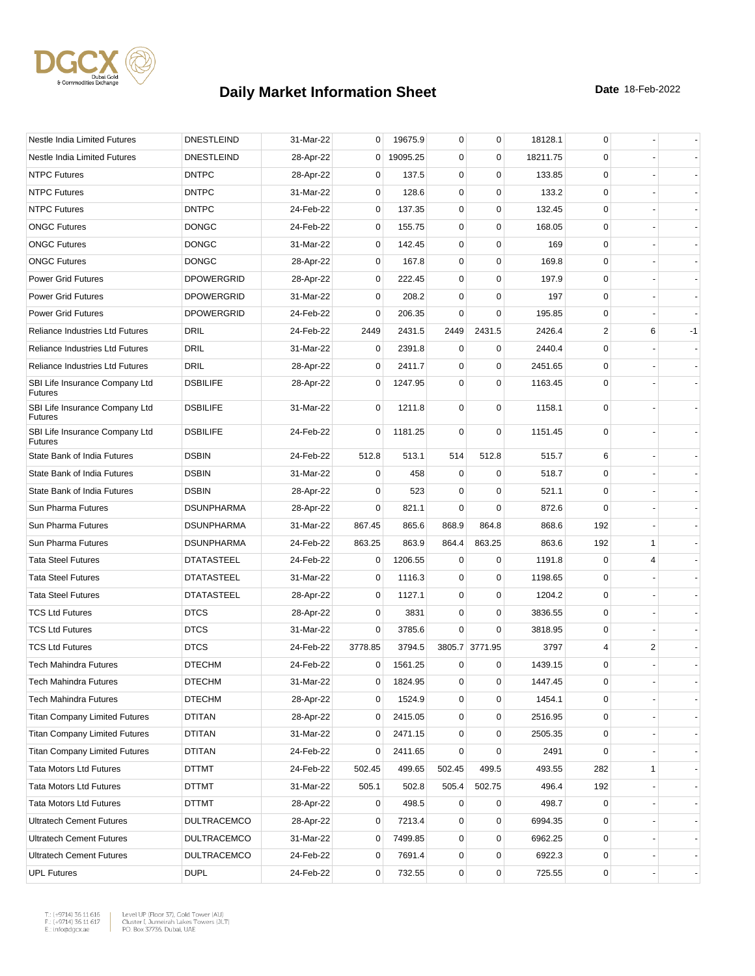

| Nestle India Limited Futures                     | <b>DNESTLEIND</b>  | 31-Mar-22 | 0           | 19675.9  | 0           | $\mathbf 0$    | 18128.1  | $\mathbf 0$ |                |      |
|--------------------------------------------------|--------------------|-----------|-------------|----------|-------------|----------------|----------|-------------|----------------|------|
| Nestle India Limited Futures                     | <b>DNESTLEIND</b>  | 28-Apr-22 | $\mathbf 0$ | 19095.25 | $\mathbf 0$ | $\mathbf 0$    | 18211.75 | 0           |                |      |
| <b>NTPC Futures</b>                              | <b>DNTPC</b>       | 28-Apr-22 | 0           | 137.5    | 0           | $\mathbf 0$    | 133.85   | $\mathbf 0$ |                |      |
| <b>NTPC Futures</b>                              | <b>DNTPC</b>       | 31-Mar-22 | 0           | 128.6    | $\mathbf 0$ | $\mathbf 0$    | 133.2    | $\mathbf 0$ |                |      |
| <b>NTPC Futures</b>                              | <b>DNTPC</b>       | 24-Feb-22 | 0           | 137.35   | 0           | $\mathbf 0$    | 132.45   | 0           |                |      |
| <b>ONGC Futures</b>                              | <b>DONGC</b>       | 24-Feb-22 | $\mathbf 0$ | 155.75   | $\mathbf 0$ | $\mathbf 0$    | 168.05   | $\mathbf 0$ |                |      |
| <b>ONGC Futures</b>                              | <b>DONGC</b>       | 31-Mar-22 | 0           | 142.45   | $\mathbf 0$ | $\mathbf 0$    | 169      | 0           |                |      |
| <b>ONGC Futures</b>                              | <b>DONGC</b>       | 28-Apr-22 | 0           | 167.8    | $\mathbf 0$ | $\mathbf 0$    | 169.8    | 0           |                |      |
| <b>Power Grid Futures</b>                        | <b>DPOWERGRID</b>  | 28-Apr-22 | 0           | 222.45   | $\mathbf 0$ | $\mathbf 0$    | 197.9    | $\mathbf 0$ |                |      |
| <b>Power Grid Futures</b>                        | <b>DPOWERGRID</b>  | 31-Mar-22 | 0           | 208.2    | 0           | 0              | 197      | 0           |                |      |
| <b>Power Grid Futures</b>                        | <b>DPOWERGRID</b>  | 24-Feb-22 | 0           | 206.35   | $\Omega$    | $\mathbf 0$    | 195.85   | 0           |                |      |
| <b>Reliance Industries Ltd Futures</b>           | DRIL               | 24-Feb-22 | 2449        | 2431.5   | 2449        | 2431.5         | 2426.4   | 2           | 6              | $-1$ |
| <b>Reliance Industries Ltd Futures</b>           | <b>DRIL</b>        | 31-Mar-22 | 0           | 2391.8   | 0           | 0              | 2440.4   | 0           |                |      |
| <b>Reliance Industries Ltd Futures</b>           | DRIL               | 28-Apr-22 | 0           | 2411.7   | $\mathbf 0$ | $\mathbf 0$    | 2451.65  | 0           |                |      |
| SBI Life Insurance Company Ltd<br><b>Futures</b> | <b>DSBILIFE</b>    | 28-Apr-22 | 0           | 1247.95  | 0           | $\mathbf 0$    | 1163.45  | 0           |                |      |
| SBI Life Insurance Company Ltd<br><b>Futures</b> | <b>DSBILIFE</b>    | 31-Mar-22 | $\mathbf 0$ | 1211.8   | 0           | 0              | 1158.1   | $\mathbf 0$ |                |      |
| SBI Life Insurance Company Ltd<br><b>Futures</b> | <b>DSBILIFE</b>    | 24-Feb-22 | 0           | 1181.25  | $\mathbf 0$ | $\mathbf 0$    | 1151.45  | 0           |                |      |
| State Bank of India Futures                      | <b>DSBIN</b>       | 24-Feb-22 | 512.8       | 513.1    | 514         | 512.8          | 515.7    | 6           |                |      |
| State Bank of India Futures                      | <b>DSBIN</b>       | 31-Mar-22 | 0           | 458      | 0           | 0              | 518.7    | 0           |                |      |
| State Bank of India Futures                      | <b>DSBIN</b>       | 28-Apr-22 | 0           | 523      | $\Omega$    | $\mathbf 0$    | 521.1    | 0           |                |      |
| Sun Pharma Futures                               | <b>DSUNPHARMA</b>  | 28-Apr-22 | 0           | 821.1    | $\mathbf 0$ | $\Omega$       | 872.6    | $\mathbf 0$ |                |      |
| Sun Pharma Futures                               | <b>DSUNPHARMA</b>  | 31-Mar-22 | 867.45      | 865.6    | 868.9       | 864.8          | 868.6    | 192         |                |      |
| Sun Pharma Futures                               | <b>DSUNPHARMA</b>  | 24-Feb-22 | 863.25      | 863.9    | 864.4       | 863.25         | 863.6    | 192         | 1              |      |
| <b>Tata Steel Futures</b>                        | <b>DTATASTEEL</b>  | 24-Feb-22 | 0           | 1206.55  | 0           | 0              | 1191.8   | $\mathbf 0$ | 4              |      |
| <b>Tata Steel Futures</b>                        | <b>DTATASTEEL</b>  | 31-Mar-22 | 0           | 1116.3   | 0           | 0              | 1198.65  | 0           |                |      |
| <b>Tata Steel Futures</b>                        | <b>DTATASTEEL</b>  | 28-Apr-22 | 0           | 1127.1   | $\mathbf 0$ | $\mathbf 0$    | 1204.2   | 0           |                |      |
| <b>TCS Ltd Futures</b>                           | <b>DTCS</b>        | 28-Apr-22 | 0           | 3831     | 0           | 0              | 3836.55  | 0           |                |      |
| <b>TCS Ltd Futures</b>                           | <b>DTCS</b>        | 31-Mar-22 | 0           | 3785.6   | $\Omega$    | 0              | 3818.95  | 0           |                |      |
| <b>TCS Ltd Futures</b>                           | <b>DTCS</b>        | 24-Feb-22 | 3778.85     | 3794.5   |             | 3805.7 3771.95 | 3797     | 4           | $\overline{c}$ |      |
| <b>Tech Mahindra Futures</b>                     | <b>DTECHM</b>      | 24-Feb-22 | 0           | 1561.25  | 0           | 0              | 1439.15  | 0           |                |      |
| <b>Tech Mahindra Futures</b>                     | <b>DTECHM</b>      | 31-Mar-22 | 0           | 1824.95  | 0           | 0              | 1447.45  | $\Omega$    |                |      |
| Tech Mahindra Futures                            | <b>DTECHM</b>      | 28-Apr-22 | 0           | 1524.9   | 0           | 0              | 1454.1   | 0           |                |      |
| <b>Titan Company Limited Futures</b>             | <b>DTITAN</b>      | 28-Apr-22 | 0           | 2415.05  | 0           | $\pmb{0}$      | 2516.95  | 0           |                |      |
| <b>Titan Company Limited Futures</b>             | <b>DTITAN</b>      | 31-Mar-22 | 0           | 2471.15  | 0           | $\mathbf 0$    | 2505.35  | 0           |                |      |
| <b>Titan Company Limited Futures</b>             | DTITAN             | 24-Feb-22 | 0           | 2411.65  | 0           | $\mathbf 0$    | 2491     | 0           |                |      |
| <b>Tata Motors Ltd Futures</b>                   | DTTMT              | 24-Feb-22 | 502.45      | 499.65   | 502.45      | 499.5          | 493.55   | 282         | 1              |      |
| <b>Tata Motors Ltd Futures</b>                   | DTTMT              | 31-Mar-22 | 505.1       | 502.8    | 505.4       | 502.75         | 496.4    | 192         |                |      |
| <b>Tata Motors Ltd Futures</b>                   | DTTMT              | 28-Apr-22 | 0           | 498.5    | 0           | 0              | 498.7    | 0           |                |      |
| <b>Ultratech Cement Futures</b>                  | <b>DULTRACEMCO</b> | 28-Apr-22 | 0           | 7213.4   | 0           | 0              | 6994.35  | 0           |                |      |
| <b>Ultratech Cement Futures</b>                  | <b>DULTRACEMCO</b> | 31-Mar-22 | 0           | 7499.85  | 0           | $\mathbf 0$    | 6962.25  | 0           |                |      |
| <b>Ultratech Cement Futures</b>                  | <b>DULTRACEMCO</b> | 24-Feb-22 | 0           | 7691.4   | 0           | $\pmb{0}$      | 6922.3   | 0           |                |      |
| <b>UPL Futures</b>                               | <b>DUPL</b>        | 24-Feb-22 | 0           | 732.55   | 0           | $\pmb{0}$      | 725.55   | 0           |                |      |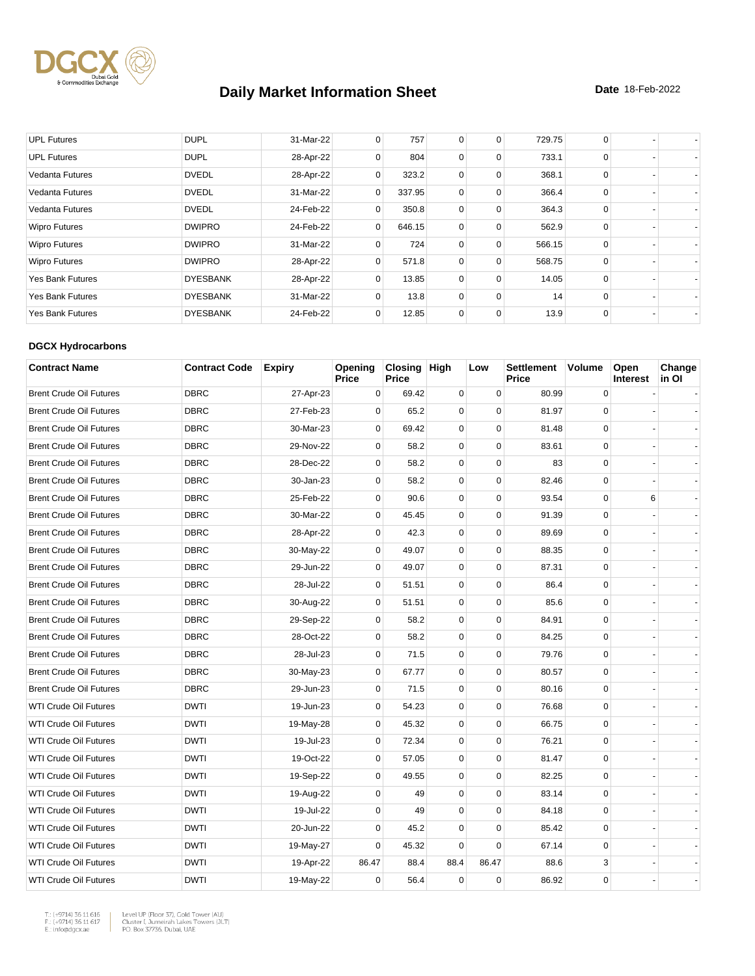

| <b>UPL Futures</b>      | <b>DUPL</b>     | 31-Mar-22 | 0            | 757    | 0        | 0        | 729.75 | 0        |  |
|-------------------------|-----------------|-----------|--------------|--------|----------|----------|--------|----------|--|
| <b>UPL Futures</b>      | <b>DUPL</b>     | 28-Apr-22 | 0            | 804    | 0        | 0        | 733.1  | 0        |  |
| Vedanta Futures         | <b>DVEDL</b>    | 28-Apr-22 | 0            | 323.2  | 0        | 0        | 368.1  | $\Omega$ |  |
| <b>Vedanta Futures</b>  | <b>DVEDL</b>    | 31-Mar-22 | $\mathbf{0}$ | 337.95 | 0        | 0        | 366.4  | 0        |  |
| Vedanta Futures         | <b>DVEDL</b>    | 24-Feb-22 | 0            | 350.8  | 0        | 0        | 364.3  | $\Omega$ |  |
| <b>Wipro Futures</b>    | <b>DWIPRO</b>   | 24-Feb-22 | 0            | 646.15 | 0        | 0        | 562.9  | 0        |  |
| <b>Wipro Futures</b>    | <b>DWIPRO</b>   | 31-Mar-22 | 0            | 724    | 0        | 0        | 566.15 | $\Omega$ |  |
| <b>Wipro Futures</b>    | <b>DWIPRO</b>   | 28-Apr-22 | 0            | 571.8  | 0        | 0        | 568.75 | 0        |  |
| <b>Yes Bank Futures</b> | <b>DYESBANK</b> | 28-Apr-22 | 0            | 13.85  | $\Omega$ | $\Omega$ | 14.05  | $\Omega$ |  |
| <b>Yes Bank Futures</b> | <b>DYESBANK</b> | 31-Mar-22 | 0            | 13.8   | 0        | 0        | 14     | $\Omega$ |  |
| <b>Yes Bank Futures</b> | <b>DYESBANK</b> | 24-Feb-22 | 0            | 12.85  | 0        | 0        | 13.9   | 0        |  |

#### **DGCX Hydrocarbons**

| <b>Contract Name</b>           | <b>Contract Code</b> | <b>Expiry</b> | Opening<br>Price | Closing High<br><b>Price</b> |             | Low         | <b>Settlement</b><br>Price | <b>Volume</b> | Open<br><b>Interest</b> | Change<br>in Ol |
|--------------------------------|----------------------|---------------|------------------|------------------------------|-------------|-------------|----------------------------|---------------|-------------------------|-----------------|
| <b>Brent Crude Oil Futures</b> | <b>DBRC</b>          | 27-Apr-23     | 0                | 69.42                        | $\mathbf 0$ | 0           | 80.99                      | $\mathbf 0$   |                         |                 |
| <b>Brent Crude Oil Futures</b> | <b>DBRC</b>          | 27-Feb-23     | $\mathbf 0$      | 65.2                         | 0           | $\mathbf 0$ | 81.97                      | $\mathbf 0$   |                         |                 |
| <b>Brent Crude Oil Futures</b> | <b>DBRC</b>          | 30-Mar-23     | $\mathbf 0$      | 69.42                        | $\mathbf 0$ | $\mathbf 0$ | 81.48                      | 0             |                         |                 |
| <b>Brent Crude Oil Futures</b> | <b>DBRC</b>          | 29-Nov-22     | $\mathbf 0$      | 58.2                         | $\mathbf 0$ | $\mathbf 0$ | 83.61                      | $\mathbf 0$   |                         |                 |
| <b>Brent Crude Oil Futures</b> | <b>DBRC</b>          | 28-Dec-22     | $\mathbf 0$      | 58.2                         | 0           | $\mathbf 0$ | 83                         | $\mathbf 0$   |                         |                 |
| <b>Brent Crude Oil Futures</b> | <b>DBRC</b>          | 30-Jan-23     | $\mathbf 0$      | 58.2                         | $\mathbf 0$ | $\mathbf 0$ | 82.46                      | $\mathbf 0$   |                         |                 |
| <b>Brent Crude Oil Futures</b> | <b>DBRC</b>          | 25-Feb-22     | $\mathbf 0$      | 90.6                         | 0           | $\mathbf 0$ | 93.54                      | $\mathbf 0$   | 6                       |                 |
| <b>Brent Crude Oil Futures</b> | <b>DBRC</b>          | 30-Mar-22     | $\mathbf 0$      | 45.45                        | 0           | $\mathbf 0$ | 91.39                      | $\mathbf 0$   |                         |                 |
| <b>Brent Crude Oil Futures</b> | <b>DBRC</b>          | 28-Apr-22     | 0                | 42.3                         | 0           | $\pmb{0}$   | 89.69                      | 0             |                         |                 |
| <b>Brent Crude Oil Futures</b> | <b>DBRC</b>          | 30-May-22     | $\mathbf 0$      | 49.07                        | $\mathbf 0$ | $\mathbf 0$ | 88.35                      | $\mathbf 0$   |                         |                 |
| <b>Brent Crude Oil Futures</b> | <b>DBRC</b>          | 29-Jun-22     | $\Omega$         | 49.07                        | 0           | $\mathbf 0$ | 87.31                      | $\mathbf 0$   |                         |                 |
| <b>Brent Crude Oil Futures</b> | <b>DBRC</b>          | 28-Jul-22     | $\mathbf 0$      | 51.51                        | 0           | $\mathbf 0$ | 86.4                       | $\mathbf 0$   |                         |                 |
| <b>Brent Crude Oil Futures</b> | <b>DBRC</b>          | 30-Aug-22     | $\mathbf 0$      | 51.51                        | $\mathbf 0$ | $\mathbf 0$ | 85.6                       | $\mathbf 0$   |                         |                 |
| <b>Brent Crude Oil Futures</b> | <b>DBRC</b>          | 29-Sep-22     | $\mathbf 0$      | 58.2                         | 0           | $\mathbf 0$ | 84.91                      | $\mathbf 0$   |                         |                 |
| <b>Brent Crude Oil Futures</b> | <b>DBRC</b>          | 28-Oct-22     | $\mathbf 0$      | 58.2                         | $\mathbf 0$ | $\mathbf 0$ | 84.25                      | $\mathbf 0$   |                         |                 |
| <b>Brent Crude Oil Futures</b> | <b>DBRC</b>          | 28-Jul-23     | $\mathbf 0$      | 71.5                         | 0           | $\mathbf 0$ | 79.76                      | $\mathbf 0$   |                         |                 |
| <b>Brent Crude Oil Futures</b> | <b>DBRC</b>          | 30-May-23     | 0                | 67.77                        | 0           | $\mathbf 0$ | 80.57                      | $\mathbf 0$   |                         |                 |
| <b>Brent Crude Oil Futures</b> | <b>DBRC</b>          | 29-Jun-23     | $\Omega$         | 71.5                         | 0           | $\mathbf 0$ | 80.16                      | $\mathbf 0$   |                         |                 |
| <b>WTI Crude Oil Futures</b>   | <b>DWTI</b>          | 19-Jun-23     | $\mathbf 0$      | 54.23                        | $\mathbf 0$ | $\mathbf 0$ | 76.68                      | $\mathbf 0$   |                         |                 |
| <b>WTI Crude Oil Futures</b>   | <b>DWTI</b>          | 19-May-28     | $\Omega$         | 45.32                        | 0           | $\mathbf 0$ | 66.75                      | $\mathbf 0$   |                         |                 |
| <b>WTI Crude Oil Futures</b>   | <b>DWTI</b>          | 19-Jul-23     | 0                | 72.34                        | 0           | $\mathbf 0$ | 76.21                      | $\mathbf 0$   |                         |                 |
| <b>WTI Crude Oil Futures</b>   | <b>DWTI</b>          | 19-Oct-22     | $\mathbf 0$      | 57.05                        | $\mathbf 0$ | $\mathbf 0$ | 81.47                      | $\mathbf 0$   |                         |                 |
| <b>WTI Crude Oil Futures</b>   | <b>DWTI</b>          | 19-Sep-22     | $\mathbf 0$      | 49.55                        | 0           | $\pmb{0}$   | 82.25                      | 0             |                         |                 |
| <b>WTI Crude Oil Futures</b>   | <b>DWTI</b>          | 19-Aug-22     | $\mathbf 0$      | 49                           | 0           | $\mathbf 0$ | 83.14                      | $\mathbf 0$   |                         |                 |
| <b>WTI Crude Oil Futures</b>   | <b>DWTI</b>          | 19-Jul-22     | $\mathbf 0$      | 49                           | $\mathbf 0$ | $\mathbf 0$ | 84.18                      | $\mathbf 0$   |                         |                 |
| <b>WTI Crude Oil Futures</b>   | <b>DWTI</b>          | 20-Jun-22     | $\mathbf 0$      | 45.2                         | 0           | 0           | 85.42                      | 0             |                         |                 |
| <b>WTI Crude Oil Futures</b>   | <b>DWTI</b>          | 19-May-27     | $\Omega$         | 45.32                        | $\Omega$    | $\Omega$    | 67.14                      | $\mathbf 0$   |                         |                 |
| <b>WTI Crude Oil Futures</b>   | <b>DWTI</b>          | 19-Apr-22     | 86.47            | 88.4                         | 88.4        | 86.47       | 88.6                       | 3             |                         |                 |
| <b>WTI Crude Oil Futures</b>   | <b>DWTI</b>          | 19-May-22     | $\mathbf 0$      | 56.4                         | $\mathbf 0$ | $\Omega$    | 86.92                      | $\Omega$      |                         |                 |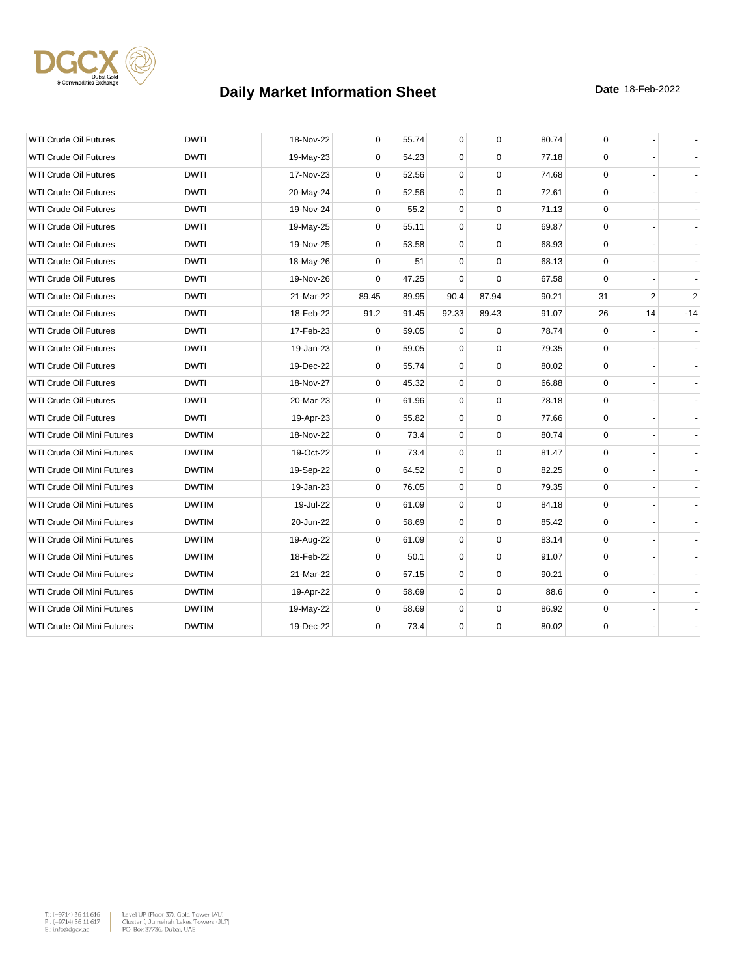

| <b>WTI Crude Oil Futures</b>      | <b>DWTI</b>  | 18-Nov-22 | 0           | 55.74 | 0           | $\mathbf 0$ | 80.74 | 0            |                |            |
|-----------------------------------|--------------|-----------|-------------|-------|-------------|-------------|-------|--------------|----------------|------------|
| <b>WTI Crude Oil Futures</b>      | <b>DWTI</b>  | 19-May-23 | 0           | 54.23 | 0           | $\Omega$    | 77.18 | $\mathbf 0$  |                |            |
| <b>WTI Crude Oil Futures</b>      | <b>DWTI</b>  | 17-Nov-23 | 0           | 52.56 | $\mathbf 0$ | $\mathbf 0$ | 74.68 | $\mathbf 0$  |                |            |
| <b>WTI Crude Oil Futures</b>      | <b>DWTI</b>  | 20-May-24 | $\mathbf 0$ | 52.56 | 0           | $\mathbf 0$ | 72.61 | 0            |                |            |
| <b>WTI Crude Oil Futures</b>      | <b>DWTI</b>  | 19-Nov-24 | 0           | 55.2  | $\mathbf 0$ | $\Omega$    | 71.13 | 0            |                |            |
| WTI Crude Oil Futures             | <b>DWTI</b>  | 19-May-25 | 0           | 55.11 | $\mathbf 0$ | $\mathbf 0$ | 69.87 | $\mathbf 0$  |                |            |
| <b>WTI Crude Oil Futures</b>      | <b>DWTI</b>  | 19-Nov-25 | 0           | 53.58 | $\mathbf 0$ | $\mathbf 0$ | 68.93 | $\mathbf 0$  |                |            |
| <b>WTI Crude Oil Futures</b>      | <b>DWTI</b>  | 18-May-26 | $\Omega$    | 51    | $\mathbf 0$ | $\mathbf 0$ | 68.13 | $\mathbf 0$  |                |            |
| <b>WTI Crude Oil Futures</b>      | <b>DWTI</b>  | 19-Nov-26 | $\Omega$    | 47.25 | $\Omega$    | $\Omega$    | 67.58 | $\mathbf 0$  |                |            |
| <b>WTI Crude Oil Futures</b>      | <b>DWTI</b>  | 21-Mar-22 | 89.45       | 89.95 | 90.4        | 87.94       | 90.21 | 31           | $\overline{2}$ | $\sqrt{2}$ |
| <b>WTI Crude Oil Futures</b>      | <b>DWTI</b>  | 18-Feb-22 | 91.2        | 91.45 | 92.33       | 89.43       | 91.07 | 26           | 14             | $-14$      |
| <b>WTI Crude Oil Futures</b>      | <b>DWTI</b>  | 17-Feb-23 | 0           | 59.05 | $\Omega$    | $\Omega$    | 78.74 | $\Omega$     |                |            |
| <b>WTI Crude Oil Futures</b>      | <b>DWTI</b>  | 19-Jan-23 | 0           | 59.05 | 0           | $\mathbf 0$ | 79.35 | 0            |                |            |
| <b>WTI Crude Oil Futures</b>      | <b>DWTI</b>  | 19-Dec-22 | 0           | 55.74 | 0           | $\mathbf 0$ | 80.02 | 0            |                |            |
| <b>WTI Crude Oil Futures</b>      | <b>DWTI</b>  | 18-Nov-27 | $\Omega$    | 45.32 | $\mathbf 0$ | $\mathbf 0$ | 66.88 | $\mathbf 0$  |                |            |
| <b>WTI Crude Oil Futures</b>      | <b>DWTI</b>  | 20-Mar-23 | 0           | 61.96 | $\mathbf 0$ | $\pmb{0}$   | 78.18 | 0            |                |            |
| <b>WTI Crude Oil Futures</b>      | <b>DWTI</b>  | 19-Apr-23 | 0           | 55.82 | 0           | $\mathbf 0$ | 77.66 | $\mathbf 0$  |                |            |
| WTI Crude Oil Mini Futures        | <b>DWTIM</b> | 18-Nov-22 | 0           | 73.4  | $\mathbf 0$ | $\mathbf 0$ | 80.74 | $\mathbf 0$  |                |            |
| WTI Crude Oil Mini Futures        | <b>DWTIM</b> | 19-Oct-22 | 0           | 73.4  | 0           | 0           | 81.47 | $\mathbf 0$  |                |            |
| WTI Crude Oil Mini Futures        | <b>DWTIM</b> | 19-Sep-22 | 0           | 64.52 | $\mathbf 0$ | $\mathbf 0$ | 82.25 | $\mathbf 0$  |                |            |
| WTI Crude Oil Mini Futures        | <b>DWTIM</b> | 19-Jan-23 | 0           | 76.05 | 0           | $\mathbf 0$ | 79.35 | $\mathbf 0$  |                |            |
| WTI Crude Oil Mini Futures        | <b>DWTIM</b> | 19-Jul-22 | 0           | 61.09 | 0           | $\mathbf 0$ | 84.18 | $\mathbf 0$  |                |            |
| WTI Crude Oil Mini Futures        | <b>DWTIM</b> | 20-Jun-22 | $\mathbf 0$ | 58.69 | $\mathbf 0$ | $\mathbf 0$ | 85.42 | $\mathbf{0}$ |                |            |
| <b>WTI Crude Oil Mini Futures</b> | <b>DWTIM</b> | 19-Aug-22 | 0           | 61.09 | $\mathbf 0$ | $\mathbf 0$ | 83.14 | $\mathbf 0$  |                |            |
| WTI Crude Oil Mini Futures        | <b>DWTIM</b> | 18-Feb-22 | 0           | 50.1  | $\mathbf 0$ | $\mathbf 0$ | 91.07 | 0            |                |            |
| WTI Crude Oil Mini Futures        | <b>DWTIM</b> | 21-Mar-22 | $\mathbf 0$ | 57.15 | 0           | $\mathbf 0$ | 90.21 | 0            |                |            |
| WTI Crude Oil Mini Futures        | <b>DWTIM</b> | 19-Apr-22 | 0           | 58.69 | 0           | $\mathbf 0$ | 88.6  | $\mathbf 0$  |                |            |
| WTI Crude Oil Mini Futures        | <b>DWTIM</b> | 19-May-22 | 0           | 58.69 | $\mathbf 0$ | $\mathbf 0$ | 86.92 | $\mathbf 0$  |                |            |
| WTI Crude Oil Mini Futures        | <b>DWTIM</b> | 19-Dec-22 | 0           | 73.4  | 0           | $\mathbf 0$ | 80.02 | $\mathbf 0$  |                |            |

 $\begin{tabular}{|l|l|l|} \hline $\mathsf{T}_\circ$ & $\mathsf{+9714}3$ & $\mathsf{5616}} \\\hline $\mathsf{F}_\circ$ & $\mathsf{+9714}3$ & $\mathsf{5616}} \\\hline $\mathsf{F}_\circ$ & $\mathsf{+9714}3$ & $\mathsf{5616}} \\\hline $\mathsf{E}_\circ$ & $\mathsf{01618}} \\\hline $\mathsf{E}_\circ$ & $\mathsf{01618}} \\\hline $\mathsf{F}_\circ$ & $\mathsf{01618}} \\\hline $\mathsf{F}_\circ$ & $\mathsf{01618}} \\\hline$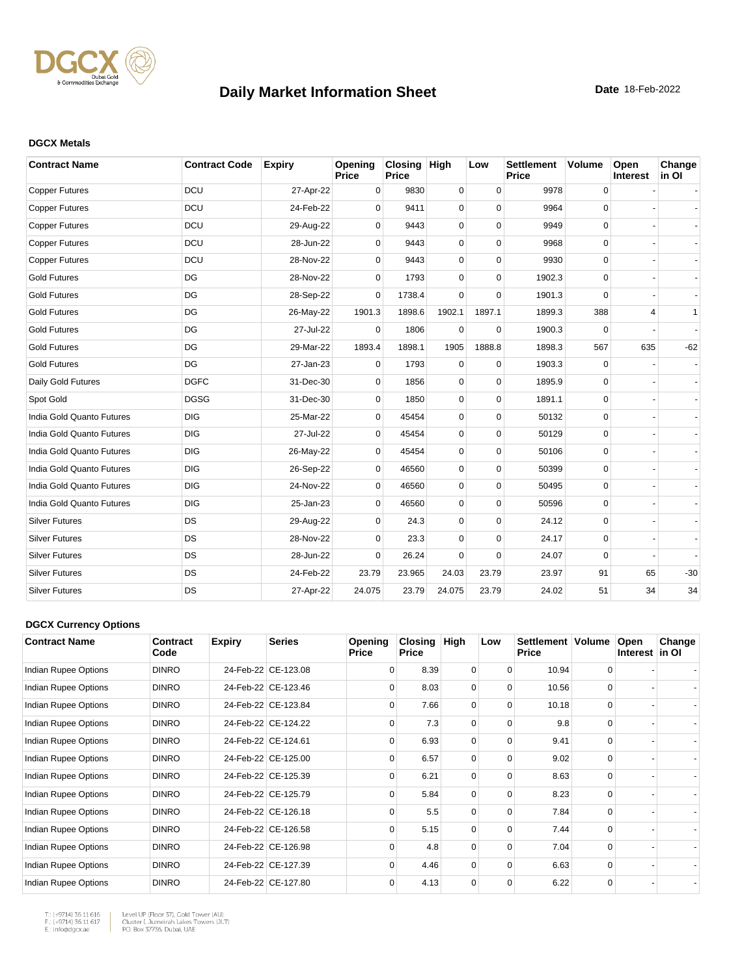

#### **DGCX Metals**

| <b>Contract Name</b>      | <b>Contract Code</b> | <b>Expiry</b> | Opening<br><b>Price</b> | Closing High<br><b>Price</b> |             | Low         | <b>Settlement</b><br><b>Price</b> | <b>Volume</b> | Open<br>Interest | Change<br>in OI |
|---------------------------|----------------------|---------------|-------------------------|------------------------------|-------------|-------------|-----------------------------------|---------------|------------------|-----------------|
| <b>Copper Futures</b>     | <b>DCU</b>           | 27-Apr-22     | 0                       | 9830                         | $\mathbf 0$ | $\mathbf 0$ | 9978                              | $\mathsf 0$   |                  |                 |
| <b>Copper Futures</b>     | DCU                  | 24-Feb-22     | $\Omega$                | 9411                         | 0           | $\Omega$    | 9964                              | 0             |                  |                 |
| <b>Copper Futures</b>     | DCU                  | 29-Aug-22     | $\mathbf 0$             | 9443                         | 0           | $\mathbf 0$ | 9949                              | $\mathbf 0$   |                  |                 |
| <b>Copper Futures</b>     | <b>DCU</b>           | 28-Jun-22     | 0                       | 9443                         | 0           | $\mathbf 0$ | 9968                              | $\mathbf 0$   |                  |                 |
| <b>Copper Futures</b>     | DCU                  | 28-Nov-22     | $\Omega$                | 9443                         | 0           | $\Omega$    | 9930                              | 0             |                  |                 |
| <b>Gold Futures</b>       | DG                   | 28-Nov-22     | $\Omega$                | 1793                         | 0           | $\Omega$    | 1902.3                            | 0             |                  |                 |
| <b>Gold Futures</b>       | DG                   | 28-Sep-22     | $\Omega$                | 1738.4                       | $\Omega$    | $\Omega$    | 1901.3                            | $\Omega$      |                  |                 |
| <b>Gold Futures</b>       | DG                   | 26-May-22     | 1901.3                  | 1898.6                       | 1902.1      | 1897.1      | 1899.3                            | 388           | 4                | 1               |
| <b>Gold Futures</b>       | DG                   | 27-Jul-22     | $\Omega$                | 1806                         | 0           | $\Omega$    | 1900.3                            | 0             |                  |                 |
| <b>Gold Futures</b>       | DG                   | 29-Mar-22     | 1893.4                  | 1898.1                       | 1905        | 1888.8      | 1898.3                            | 567           | 635              | $-62$           |
| <b>Gold Futures</b>       | DG                   | 27-Jan-23     | $\Omega$                | 1793                         | 0           | $\Omega$    | 1903.3                            | 0             |                  |                 |
| Daily Gold Futures        | <b>DGFC</b>          | 31-Dec-30     | $\Omega$                | 1856                         | $\mathbf 0$ | $\mathbf 0$ | 1895.9                            | 0             |                  |                 |
| Spot Gold                 | <b>DGSG</b>          | 31-Dec-30     | $\Omega$                | 1850                         | 0           | $\mathbf 0$ | 1891.1                            | $\mathbf 0$   |                  |                 |
| India Gold Quanto Futures | <b>DIG</b>           | 25-Mar-22     | $\mathbf 0$             | 45454                        | 0           | $\mathbf 0$ | 50132                             | 0             |                  |                 |
| India Gold Quanto Futures | <b>DIG</b>           | 27-Jul-22     | 0                       | 45454                        | 0           | $\mathbf 0$ | 50129                             | 0             |                  |                 |
| India Gold Quanto Futures | <b>DIG</b>           | 26-May-22     | $\mathbf 0$             | 45454                        | 0           | $\Omega$    | 50106                             | 0             |                  |                 |
| India Gold Quanto Futures | <b>DIG</b>           | 26-Sep-22     | $\Omega$                | 46560                        | 0           | $\Omega$    | 50399                             | $\Omega$      |                  |                 |
| India Gold Quanto Futures | <b>DIG</b>           | 24-Nov-22     | $\Omega$                | 46560                        | 0           | $\Omega$    | 50495                             | 0             |                  |                 |
| India Gold Quanto Futures | <b>DIG</b>           | 25-Jan-23     | 0                       | 46560                        | 0           | $\Omega$    | 50596                             | $\mathbf 0$   |                  |                 |
| <b>Silver Futures</b>     | DS                   | 29-Aug-22     | 0                       | 24.3                         | 0           | $\Omega$    | 24.12                             | $\mathbf 0$   |                  |                 |
| <b>Silver Futures</b>     | <b>DS</b>            | 28-Nov-22     | 0                       | 23.3                         | 0           | $\mathbf 0$ | 24.17                             | 0             |                  |                 |
| <b>Silver Futures</b>     | <b>DS</b>            | 28-Jun-22     | $\Omega$                | 26.24                        | 0           | $\Omega$    | 24.07                             | 0             |                  |                 |
| <b>Silver Futures</b>     | <b>DS</b>            | 24-Feb-22     | 23.79                   | 23.965                       | 24.03       | 23.79       | 23.97                             | 91            | 65               | $-30$           |
| <b>Silver Futures</b>     | DS                   | 27-Apr-22     | 24.075                  | 23.79                        | 24.075      | 23.79       | 24.02                             | 51            | 34               | 34              |

#### **DGCX Currency Options**

| <b>Contract Name</b> | Contract<br>Code | <b>Expiry</b> | <b>Series</b>       | Opening<br><b>Price</b> | Closing<br><b>Price</b> | High     | Low      | Settlement   Volume<br><b>Price</b> |          | Open<br>Interest in OI | Change |
|----------------------|------------------|---------------|---------------------|-------------------------|-------------------------|----------|----------|-------------------------------------|----------|------------------------|--------|
| Indian Rupee Options | <b>DINRO</b>     |               | 24-Feb-22 CE-123.08 | $\Omega$                | 8.39                    | $\Omega$ | $\Omega$ | 10.94                               | $\Omega$ |                        |        |
| Indian Rupee Options | <b>DINRO</b>     |               | 24-Feb-22 CE-123.46 | $\Omega$                | 8.03                    | $\Omega$ | $\Omega$ | 10.56                               | $\Omega$ |                        |        |
| Indian Rupee Options | <b>DINRO</b>     |               | 24-Feb-22 CE-123.84 | $\Omega$                | 7.66                    | $\Omega$ | $\Omega$ | 10.18                               | $\Omega$ |                        |        |
| Indian Rupee Options | <b>DINRO</b>     |               | 24-Feb-22 CE-124.22 | $\Omega$                | 7.3                     | $\Omega$ | $\Omega$ | 9.8                                 | $\Omega$ |                        |        |
| Indian Rupee Options | <b>DINRO</b>     |               | 24-Feb-22 CE-124.61 | $\Omega$                | 6.93                    | 0        | 0        | 9.41                                |          |                        |        |
| Indian Rupee Options | <b>DINRO</b>     |               | 24-Feb-22 CE-125.00 | $\Omega$                | 6.57                    | $\Omega$ | $\Omega$ | 9.02                                | $\Omega$ |                        |        |
| Indian Rupee Options | <b>DINRO</b>     |               | 24-Feb-22 CE-125.39 | $\Omega$                | 6.21                    | $\Omega$ | $\Omega$ | 8.63                                | $\Omega$ |                        |        |
| Indian Rupee Options | <b>DINRO</b>     |               | 24-Feb-22 CE-125.79 | $\Omega$                | 5.84                    | $\Omega$ | $\Omega$ | 8.23                                | $\Omega$ |                        |        |
| Indian Rupee Options | <b>DINRO</b>     |               | 24-Feb-22 CE-126.18 | $\Omega$                | 5.5                     | $\Omega$ | $\Omega$ | 7.84                                | $\Omega$ |                        |        |
| Indian Rupee Options | <b>DINRO</b>     |               | 24-Feb-22 CE-126.58 | $\Omega$                | 5.15                    | $\Omega$ | $\Omega$ | 7.44                                | $\Omega$ |                        |        |
| Indian Rupee Options | <b>DINRO</b>     |               | 24-Feb-22 CE-126.98 | $\Omega$                | 4.8                     | $\Omega$ | $\Omega$ | 7.04                                | $\Omega$ |                        |        |
| Indian Rupee Options | <b>DINRO</b>     |               | 24-Feb-22 CE-127.39 | $\Omega$                | 4.46                    | $\Omega$ | $\Omega$ | 6.63                                | $\Omega$ |                        |        |
| Indian Rupee Options | <b>DINRO</b>     |               | 24-Feb-22 CE-127.80 | 0                       | 4.13                    | 0        | 0        | 6.22                                | $\Omega$ |                        |        |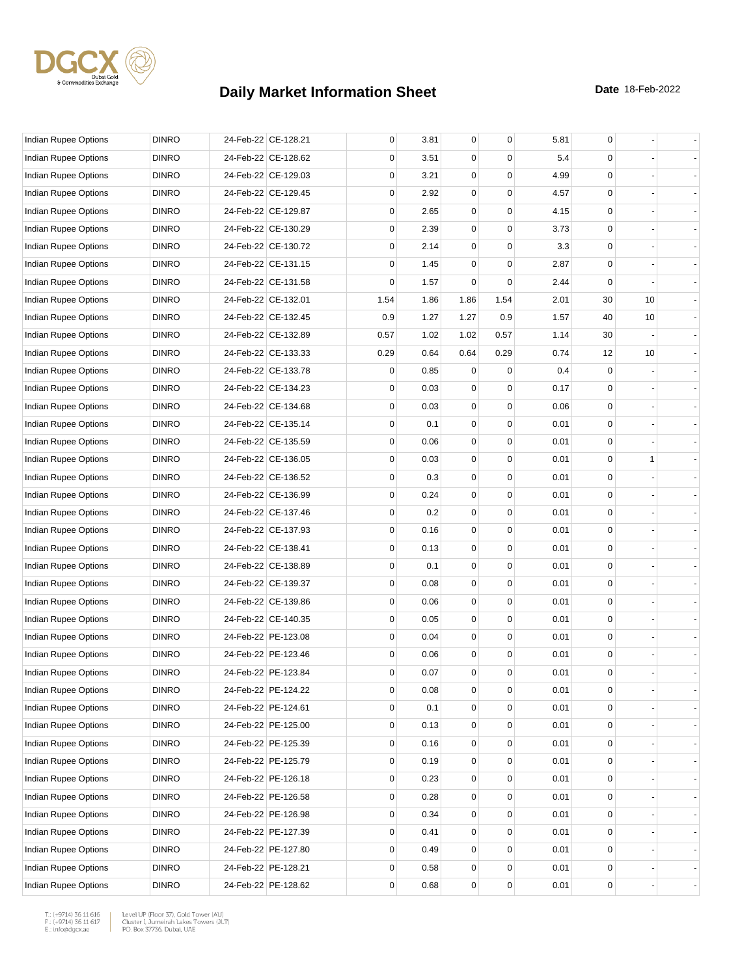

| Indian Rupee Options        | <b>DINRO</b> | 24-Feb-22 CE-128.21 | 0           | 3.81 | 0           | $\mathbf 0$ | 5.81 | 0           |              |  |
|-----------------------------|--------------|---------------------|-------------|------|-------------|-------------|------|-------------|--------------|--|
| Indian Rupee Options        | <b>DINRO</b> | 24-Feb-22 CE-128.62 | 0           | 3.51 | 0           | $\Omega$    | 5.4  | 0           |              |  |
| <b>Indian Rupee Options</b> | <b>DINRO</b> | 24-Feb-22 CE-129.03 | 0           | 3.21 | 0           | $\mathbf 0$ | 4.99 | 0           |              |  |
| Indian Rupee Options        | <b>DINRO</b> | 24-Feb-22 CE-129.45 | $\mathbf 0$ | 2.92 | 0           | $\mathbf 0$ | 4.57 | 0           |              |  |
| Indian Rupee Options        | <b>DINRO</b> | 24-Feb-22 CE-129.87 | 0           | 2.65 | $\mathbf 0$ | $\mathbf 0$ | 4.15 | 0           |              |  |
| Indian Rupee Options        | <b>DINRO</b> | 24-Feb-22 CE-130.29 | $\mathbf 0$ | 2.39 | 0           | $\mathbf 0$ | 3.73 | 0           |              |  |
| Indian Rupee Options        | <b>DINRO</b> | 24-Feb-22 CE-130.72 | 0           | 2.14 | 0           | 0           | 3.3  | 0           |              |  |
| Indian Rupee Options        | <b>DINRO</b> | 24-Feb-22 CE-131.15 | $\mathbf 0$ | 1.45 | 0           | $\mathbf 0$ | 2.87 | 0           |              |  |
| Indian Rupee Options        | <b>DINRO</b> | 24-Feb-22 CE-131.58 | $\mathbf 0$ | 1.57 | 0           | $\mathbf 0$ | 2.44 | 0           |              |  |
| Indian Rupee Options        | <b>DINRO</b> | 24-Feb-22 CE-132.01 | 1.54        | 1.86 | 1.86        | 1.54        | 2.01 | 30          | 10           |  |
| Indian Rupee Options        | <b>DINRO</b> | 24-Feb-22 CE-132.45 | 0.9         | 1.27 | 1.27        | 0.9         | 1.57 | 40          | 10           |  |
| Indian Rupee Options        | <b>DINRO</b> | 24-Feb-22 CE-132.89 | 0.57        | 1.02 | 1.02        | 0.57        | 1.14 | 30          |              |  |
| Indian Rupee Options        | <b>DINRO</b> | 24-Feb-22 CE-133.33 | 0.29        | 0.64 | 0.64        | 0.29        | 0.74 | 12          | 10           |  |
| Indian Rupee Options        | <b>DINRO</b> | 24-Feb-22 CE-133.78 | 0           | 0.85 | 0           | 0           | 0.4  | 0           |              |  |
| Indian Rupee Options        | <b>DINRO</b> | 24-Feb-22 CE-134.23 | 0           | 0.03 | $\mathbf 0$ | $\mathbf 0$ | 0.17 | 0           |              |  |
| Indian Rupee Options        | <b>DINRO</b> | 24-Feb-22 CE-134.68 | 0           | 0.03 | 0           | $\mathbf 0$ | 0.06 | 0           |              |  |
| <b>Indian Rupee Options</b> | <b>DINRO</b> | 24-Feb-22 CE-135.14 | 0           | 0.1  | 0           | 0           | 0.01 | 0           |              |  |
| Indian Rupee Options        | <b>DINRO</b> | 24-Feb-22 CE-135.59 | 0           | 0.06 | 0           | $\mathbf 0$ | 0.01 | 0           |              |  |
| <b>Indian Rupee Options</b> | <b>DINRO</b> | 24-Feb-22 CE-136.05 | $\mathbf 0$ | 0.03 | 0           | $\mathbf 0$ | 0.01 | 0           | $\mathbf{1}$ |  |
| Indian Rupee Options        | <b>DINRO</b> | 24-Feb-22 CE-136.52 | 0           | 0.3  | $\mathbf 0$ | $\mathbf 0$ | 0.01 | 0           |              |  |
| Indian Rupee Options        | <b>DINRO</b> | 24-Feb-22 CE-136.99 | $\mathbf 0$ | 0.24 | 0           | $\mathbf 0$ | 0.01 | 0           |              |  |
| Indian Rupee Options        | <b>DINRO</b> | 24-Feb-22 CE-137.46 | 0           | 0.2  | 0           | 0           | 0.01 | 0           |              |  |
| Indian Rupee Options        | <b>DINRO</b> | 24-Feb-22 CE-137.93 | 0           | 0.16 | 0           | $\mathbf 0$ | 0.01 | 0           |              |  |
| Indian Rupee Options        | <b>DINRO</b> | 24-Feb-22 CE-138.41 | $\mathbf 0$ | 0.13 | 0           | $\mathbf 0$ | 0.01 | 0           |              |  |
| Indian Rupee Options        | <b>DINRO</b> | 24-Feb-22 CE-138.89 | 0           | 0.1  | $\mathbf 0$ | $\mathbf 0$ | 0.01 | 0           |              |  |
| Indian Rupee Options        | <b>DINRO</b> | 24-Feb-22 CE-139.37 | $\mathbf 0$ | 0.08 | 0           | $\mathbf 0$ | 0.01 | 0           |              |  |
| Indian Rupee Options        | <b>DINRO</b> | 24-Feb-22 CE-139.86 | 0           | 0.06 | 0           | 0           | 0.01 | 0           |              |  |
| <b>Indian Rupee Options</b> | <b>DINRO</b> | 24-Feb-22 CE-140.35 | 0           | 0.05 | 0           | $\mathbf 0$ | 0.01 | 0           |              |  |
| Indian Rupee Options        | <b>DINRO</b> | 24-Feb-22 PE-123.08 | $\mathbf 0$ | 0.04 | 0           | $\mathbf 0$ | 0.01 | 0           |              |  |
| Indian Rupee Options        | <b>DINRO</b> | 24-Feb-22 PE-123.46 | 0           | 0.06 | $\mathbf 0$ | $\mathbf 0$ | 0.01 | 0           |              |  |
| <b>Indian Rupee Options</b> | <b>DINRO</b> | 24-Feb-22 PE-123.84 | 0           | 0.07 | $\mathbf 0$ | $\mathbf 0$ | 0.01 | 0           |              |  |
| Indian Rupee Options        | <b>DINRO</b> | 24-Feb-22 PE-124.22 | 0           | 0.08 | 0           | 0           | 0.01 | 0           |              |  |
| Indian Rupee Options        | <b>DINRO</b> | 24-Feb-22 PE-124.61 | $\mathsf 0$ | 0.1  | 0           | $\mathbf 0$ | 0.01 | 0           |              |  |
| Indian Rupee Options        | <b>DINRO</b> | 24-Feb-22 PE-125.00 | 0           | 0.13 | 0           | 0           | 0.01 | 0           |              |  |
| Indian Rupee Options        | <b>DINRO</b> | 24-Feb-22 PE-125.39 | 0           | 0.16 | 0           | $\mathbf 0$ | 0.01 | 0           |              |  |
| Indian Rupee Options        | <b>DINRO</b> | 24-Feb-22 PE-125.79 | 0           | 0.19 | 0           | 0           | 0.01 | 0           |              |  |
| <b>Indian Rupee Options</b> | <b>DINRO</b> | 24-Feb-22 PE-126.18 | 0           | 0.23 | 0           | 0           | 0.01 | 0           |              |  |
| Indian Rupee Options        | <b>DINRO</b> | 24-Feb-22 PE-126.58 | 0           | 0.28 | 0           | 0           | 0.01 | 0           |              |  |
| Indian Rupee Options        | <b>DINRO</b> | 24-Feb-22 PE-126.98 | 0           | 0.34 | 0           | 0           | 0.01 | 0           |              |  |
| Indian Rupee Options        | <b>DINRO</b> | 24-Feb-22 PE-127.39 | 0           | 0.41 | 0           | 0           | 0.01 | $\mathbf 0$ |              |  |
| Indian Rupee Options        | <b>DINRO</b> | 24-Feb-22 PE-127.80 | 0           | 0.49 | 0           | 0           | 0.01 | 0           |              |  |
| Indian Rupee Options        | <b>DINRO</b> | 24-Feb-22 PE-128.21 | 0           | 0.58 | 0           | 0           | 0.01 | 0           |              |  |
| Indian Rupee Options        | <b>DINRO</b> | 24-Feb-22 PE-128.62 | $\mathbf 0$ | 0.68 | $\pmb{0}$   | 0           | 0.01 | 0           |              |  |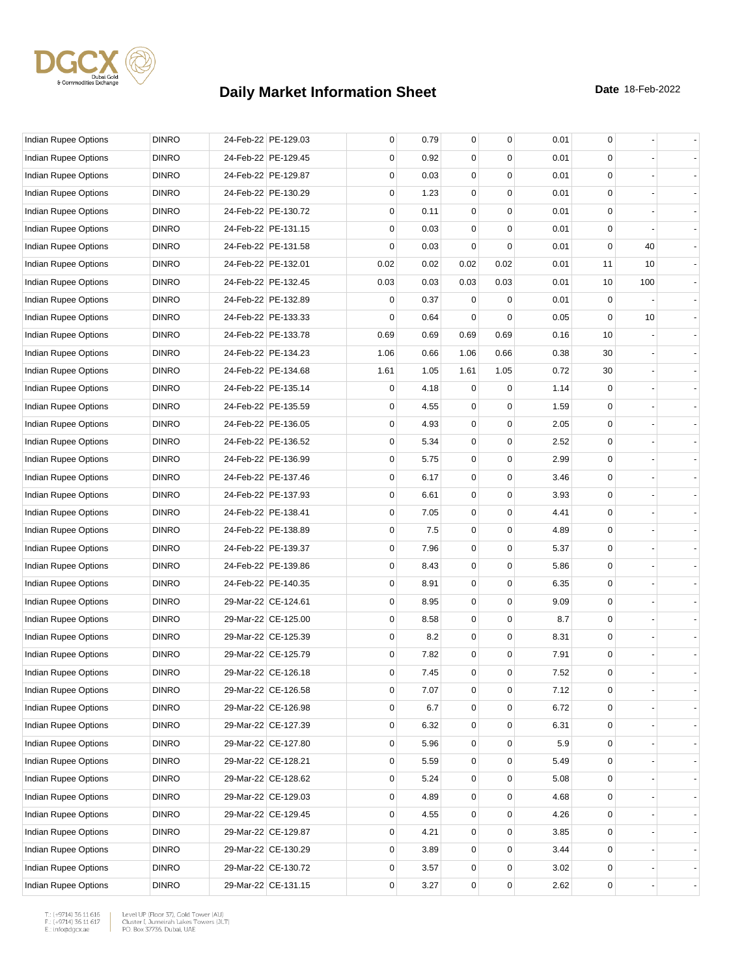

| Indian Rupee Options        | <b>DINRO</b> | 24-Feb-22 PE-129.03 | 0           | 0.79 | 0           | 0        | 0.01 | 0           |     |  |
|-----------------------------|--------------|---------------------|-------------|------|-------------|----------|------|-------------|-----|--|
| Indian Rupee Options        | <b>DINRO</b> | 24-Feb-22 PE-129.45 | 0           | 0.92 | 0           | 0        | 0.01 | 0           |     |  |
| Indian Rupee Options        | <b>DINRO</b> | 24-Feb-22 PE-129.87 | 0           | 0.03 | 0           | 0        | 0.01 | 0           |     |  |
| Indian Rupee Options        | <b>DINRO</b> | 24-Feb-22 PE-130.29 | $\mathbf 0$ | 1.23 | 0           | 0        | 0.01 | 0           |     |  |
| <b>Indian Rupee Options</b> | <b>DINRO</b> | 24-Feb-22 PE-130.72 | 0           | 0.11 | 0           | 0        | 0.01 | 0           |     |  |
| Indian Rupee Options        | <b>DINRO</b> | 24-Feb-22 PE-131.15 | 0           | 0.03 | 0           | 0        | 0.01 | $\mathbf 0$ |     |  |
| Indian Rupee Options        | <b>DINRO</b> | 24-Feb-22 PE-131.58 | 0           | 0.03 | 0           | 0        | 0.01 | $\mathbf 0$ | 40  |  |
| <b>Indian Rupee Options</b> | <b>DINRO</b> | 24-Feb-22 PE-132.01 | 0.02        | 0.02 | 0.02        | 0.02     | 0.01 | 11          | 10  |  |
| Indian Rupee Options        | <b>DINRO</b> | 24-Feb-22 PE-132.45 | 0.03        | 0.03 | 0.03        | 0.03     | 0.01 | 10          | 100 |  |
| <b>Indian Rupee Options</b> | <b>DINRO</b> | 24-Feb-22 PE-132.89 | 0           | 0.37 | 0           | 0        | 0.01 | $\mathbf 0$ |     |  |
| Indian Rupee Options        | <b>DINRO</b> | 24-Feb-22 PE-133.33 | 0           | 0.64 | 0           | $\Omega$ | 0.05 | $\mathbf 0$ | 10  |  |
| Indian Rupee Options        | <b>DINRO</b> | 24-Feb-22 PE-133.78 | 0.69        | 0.69 | 0.69        | 0.69     | 0.16 | 10          |     |  |
| Indian Rupee Options        | <b>DINRO</b> | 24-Feb-22 PE-134.23 | 1.06        | 0.66 | 1.06        | 0.66     | 0.38 | 30          |     |  |
| Indian Rupee Options        | <b>DINRO</b> | 24-Feb-22 PE-134.68 | 1.61        | 1.05 | 1.61        | 1.05     | 0.72 | 30          |     |  |
| Indian Rupee Options        | <b>DINRO</b> | 24-Feb-22 PE-135.14 | 0           | 4.18 | 0           | 0        | 1.14 | 0           |     |  |
| <b>Indian Rupee Options</b> | <b>DINRO</b> | 24-Feb-22 PE-135.59 | 0           | 4.55 | 0           | 0        | 1.59 | $\mathbf 0$ |     |  |
| <b>Indian Rupee Options</b> | <b>DINRO</b> | 24-Feb-22 PE-136.05 | 0           | 4.93 | 0           | 0        | 2.05 | 0           |     |  |
| <b>Indian Rupee Options</b> | <b>DINRO</b> | 24-Feb-22 PE-136.52 | 0           | 5.34 | 0           | 0        | 2.52 | 0           |     |  |
| Indian Rupee Options        | <b>DINRO</b> | 24-Feb-22 PE-136.99 | $\mathbf 0$ | 5.75 | 0           | 0        | 2.99 | 0           |     |  |
| Indian Rupee Options        | <b>DINRO</b> | 24-Feb-22 PE-137.46 | 0           | 6.17 | 0           | 0        | 3.46 | 0           |     |  |
| Indian Rupee Options        | <b>DINRO</b> | 24-Feb-22 PE-137.93 | 0           | 6.61 | 0           | 0        | 3.93 | $\mathbf 0$ |     |  |
| Indian Rupee Options        | <b>DINRO</b> | 24-Feb-22 PE-138.41 | 0           | 7.05 | 0           | 0        | 4.41 | 0           |     |  |
| Indian Rupee Options        | <b>DINRO</b> | 24-Feb-22 PE-138.89 | 0           | 7.5  | 0           | 0        | 4.89 | 0           |     |  |
| Indian Rupee Options        | <b>DINRO</b> | 24-Feb-22 PE-139.37 | $\mathbf 0$ | 7.96 | 0           | 0        | 5.37 | 0           |     |  |
| Indian Rupee Options        | <b>DINRO</b> | 24-Feb-22 PE-139.86 | 0           | 8.43 | 0           | 0        | 5.86 | 0           |     |  |
| Indian Rupee Options        | <b>DINRO</b> | 24-Feb-22 PE-140.35 | 0           | 8.91 | 0           | 0        | 6.35 | $\mathbf 0$ |     |  |
| Indian Rupee Options        | <b>DINRO</b> | 29-Mar-22 CE-124.61 | 0           | 8.95 | 0           | 0        | 9.09 | 0           |     |  |
| Indian Rupee Options        | <b>DINRO</b> | 29-Mar-22 CE-125.00 | 0           | 8.58 | 0           | 0        | 8.7  | 0           |     |  |
| <b>Indian Rupee Options</b> | <b>DINRO</b> | 29-Mar-22 CE-125.39 | $\mathbf 0$ | 8.2  | 0           | 0        | 8.31 | 0           |     |  |
| <b>Indian Rupee Options</b> | <b>DINRO</b> | 29-Mar-22 CE-125.79 | 0           | 7.82 | 0           | 0        | 7.91 | 0           |     |  |
| <b>Indian Rupee Options</b> | <b>DINRO</b> | 29-Mar-22 CE-126.18 | $\Omega$    | 7.45 | $\mathbf 0$ | 0        | 7.52 | $\mathbf 0$ |     |  |
| Indian Rupee Options        | <b>DINRO</b> | 29-Mar-22 CE-126.58 | 0           | 7.07 | 0           | 0        | 7.12 | 0           |     |  |
| Indian Rupee Options        | <b>DINRO</b> | 29-Mar-22 CE-126.98 | 0           | 6.7  | 0           | 0        | 6.72 | 0           |     |  |
| Indian Rupee Options        | <b>DINRO</b> | 29-Mar-22 CE-127.39 | 0           | 6.32 | 0           | 0        | 6.31 | 0           |     |  |
| Indian Rupee Options        | <b>DINRO</b> | 29-Mar-22 CE-127.80 | 0           | 5.96 | 0           | 0        | 5.9  | 0           |     |  |
| Indian Rupee Options        | <b>DINRO</b> | 29-Mar-22 CE-128.21 | 0           | 5.59 | 0           | 0        | 5.49 | 0           |     |  |
| Indian Rupee Options        | <b>DINRO</b> | 29-Mar-22 CE-128.62 | 0           | 5.24 | 0           | 0        | 5.08 | 0           |     |  |
| Indian Rupee Options        | <b>DINRO</b> | 29-Mar-22 CE-129.03 | 0           | 4.89 | 0           | 0        | 4.68 | 0           |     |  |
| Indian Rupee Options        | <b>DINRO</b> | 29-Mar-22 CE-129.45 | 0           | 4.55 | 0           | 0        | 4.26 | 0           |     |  |
| Indian Rupee Options        | <b>DINRO</b> | 29-Mar-22 CE-129.87 | 0           | 4.21 | 0           | 0        | 3.85 | 0           |     |  |
| Indian Rupee Options        | <b>DINRO</b> | 29-Mar-22 CE-130.29 | 0           | 3.89 | 0           | 0        | 3.44 | 0           |     |  |
| Indian Rupee Options        | <b>DINRO</b> | 29-Mar-22 CE-130.72 | 0           | 3.57 | 0           | 0        | 3.02 | 0           |     |  |
| Indian Rupee Options        | <b>DINRO</b> | 29-Mar-22 CE-131.15 | 0           | 3.27 | 0           | 0        | 2.62 | 0           |     |  |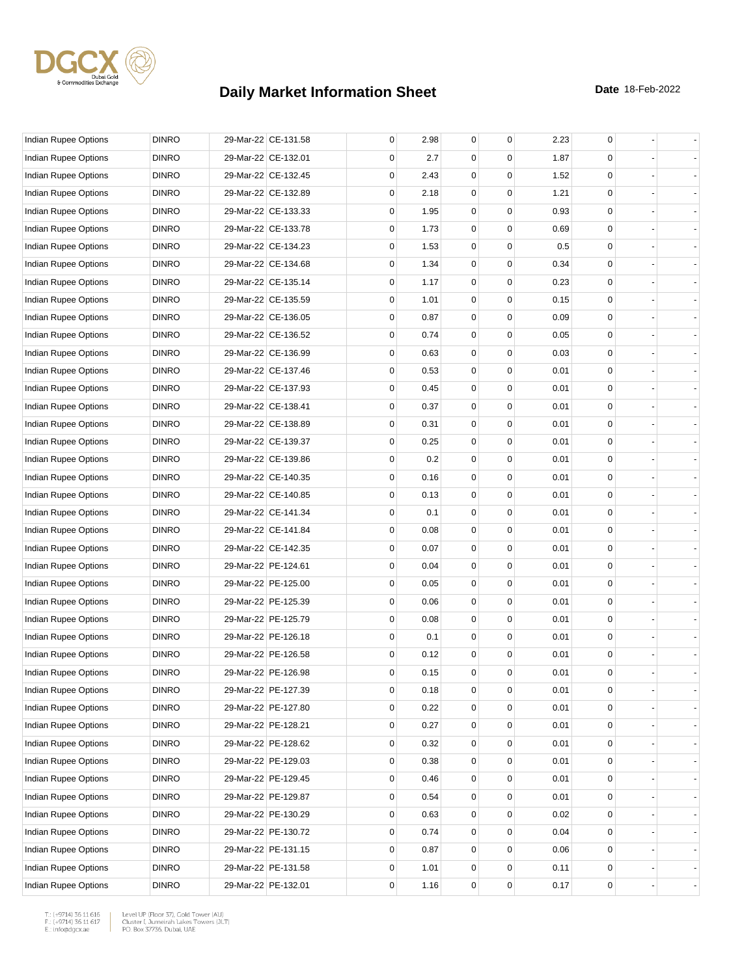

| Indian Rupee Options        | <b>DINRO</b> | 29-Mar-22 CE-131.58 | 0           | 2.98 | $\mathbf 0$ | $\mathbf 0$ | 2.23 | 0 |  |
|-----------------------------|--------------|---------------------|-------------|------|-------------|-------------|------|---|--|
| Indian Rupee Options        | <b>DINRO</b> | 29-Mar-22 CE-132.01 | 0           | 2.7  | 0           | 0           | 1.87 | 0 |  |
| <b>Indian Rupee Options</b> | <b>DINRO</b> | 29-Mar-22 CE-132.45 | 0           | 2.43 | 0           | $\mathbf 0$ | 1.52 | 0 |  |
| Indian Rupee Options        | <b>DINRO</b> | 29-Mar-22 CE-132.89 | $\mathbf 0$ | 2.18 | 0           | 0           | 1.21 | 0 |  |
| <b>Indian Rupee Options</b> | <b>DINRO</b> | 29-Mar-22 CE-133.33 | 0           | 1.95 | 0           | $\mathbf 0$ | 0.93 | 0 |  |
| Indian Rupee Options        | <b>DINRO</b> | 29-Mar-22 CE-133.78 | $\mathbf 0$ | 1.73 | $\mathbf 0$ | $\mathbf 0$ | 0.69 | 0 |  |
| Indian Rupee Options        | <b>DINRO</b> | 29-Mar-22 CE-134.23 | 0           | 1.53 | 0           | 0           | 0.5  | 0 |  |
| <b>Indian Rupee Options</b> | <b>DINRO</b> | 29-Mar-22 CE-134.68 | 0           | 1.34 | 0           | $\mathbf 0$ | 0.34 | 0 |  |
| Indian Rupee Options        | <b>DINRO</b> | 29-Mar-22 CE-135.14 | $\mathbf 0$ | 1.17 | 0           | 0           | 0.23 | 0 |  |
| Indian Rupee Options        | <b>DINRO</b> | 29-Mar-22 CE-135.59 | 0           | 1.01 | $\mathbf 0$ | $\mathbf 0$ | 0.15 | 0 |  |
| Indian Rupee Options        | <b>DINRO</b> | 29-Mar-22 CE-136.05 | 0           | 0.87 | $\mathbf 0$ | $\mathbf 0$ | 0.09 | 0 |  |
| Indian Rupee Options        | <b>DINRO</b> | 29-Mar-22 CE-136.52 | 0           | 0.74 | 0           | 0           | 0.05 | 0 |  |
| Indian Rupee Options        | <b>DINRO</b> | 29-Mar-22 CE-136.99 | 0           | 0.63 | 0           | 0           | 0.03 | 0 |  |
| Indian Rupee Options        | <b>DINRO</b> | 29-Mar-22 CE-137.46 | $\mathbf 0$ | 0.53 | 0           | 0           | 0.01 | 0 |  |
| Indian Rupee Options        | <b>DINRO</b> | 29-Mar-22 CE-137.93 | 0           | 0.45 | $\mathbf 0$ | $\mathbf 0$ | 0.01 | 0 |  |
| Indian Rupee Options        | <b>DINRO</b> | 29-Mar-22 CE-138.41 | 0           | 0.37 | $\mathbf 0$ | $\mathbf 0$ | 0.01 | 0 |  |
| <b>Indian Rupee Options</b> | <b>DINRO</b> | 29-Mar-22 CE-138.89 | 0           | 0.31 | 0           | 0           | 0.01 | 0 |  |
| Indian Rupee Options        | <b>DINRO</b> | 29-Mar-22 CE-139.37 | 0           | 0.25 | 0           | $\mathbf 0$ | 0.01 | 0 |  |
| <b>Indian Rupee Options</b> | <b>DINRO</b> | 29-Mar-22 CE-139.86 | $\mathbf 0$ | 0.2  | 0           | $\mathbf 0$ | 0.01 | 0 |  |
| <b>Indian Rupee Options</b> | <b>DINRO</b> | 29-Mar-22 CE-140.35 | 0           | 0.16 | 0           | $\mathbf 0$ | 0.01 | 0 |  |
| Indian Rupee Options        | <b>DINRO</b> | 29-Mar-22 CE-140.85 | $\mathbf 0$ | 0.13 | $\mathbf 0$ | $\mathbf 0$ | 0.01 | 0 |  |
| Indian Rupee Options        | <b>DINRO</b> | 29-Mar-22 CE-141.34 | 0           | 0.1  | 0           | 0           | 0.01 | 0 |  |
| Indian Rupee Options        | <b>DINRO</b> | 29-Mar-22 CE-141.84 | 0           | 0.08 | 0           | $\mathbf 0$ | 0.01 | 0 |  |
| Indian Rupee Options        | <b>DINRO</b> | 29-Mar-22 CE-142.35 | $\mathbf 0$ | 0.07 | 0           | $\mathbf 0$ | 0.01 | 0 |  |
| Indian Rupee Options        | <b>DINRO</b> | 29-Mar-22 PE-124.61 | 0           | 0.04 | 0           | $\mathbf 0$ | 0.01 | 0 |  |
| Indian Rupee Options        | <b>DINRO</b> | 29-Mar-22 PE-125.00 | $\mathbf 0$ | 0.05 | $\pmb{0}$   | $\mathbf 0$ | 0.01 | 0 |  |
| Indian Rupee Options        | <b>DINRO</b> | 29-Mar-22 PE-125.39 | 0           | 0.06 | 0           | 0           | 0.01 | 0 |  |
| <b>Indian Rupee Options</b> | <b>DINRO</b> | 29-Mar-22 PE-125.79 | 0           | 0.08 | 0           | $\mathbf 0$ | 0.01 | 0 |  |
| Indian Rupee Options        | <b>DINRO</b> | 29-Mar-22 PE-126.18 | $\mathbf 0$ | 0.1  | 0           | $\mathbf 0$ | 0.01 | 0 |  |
| <b>Indian Rupee Options</b> | <b>DINRO</b> | 29-Mar-22 PE-126.58 | 0           | 0.12 | $\mathbf 0$ | 0           | 0.01 | 0 |  |
| Indian Rupee Options        | <b>DINRO</b> | 29-Mar-22 PE-126.98 | 0           | 0.15 | $\mathbf 0$ | $\mathbf 0$ | 0.01 | 0 |  |
| Indian Rupee Options        | <b>DINRO</b> | 29-Mar-22 PE-127.39 | 0           | 0.18 | 0           | 0           | 0.01 | 0 |  |
| Indian Rupee Options        | <b>DINRO</b> | 29-Mar-22 PE-127.80 | 0           | 0.22 | 0           | 0           | 0.01 | 0 |  |
| Indian Rupee Options        | <b>DINRO</b> | 29-Mar-22 PE-128.21 | 0           | 0.27 | 0           | 0           | 0.01 | 0 |  |
| Indian Rupee Options        | <b>DINRO</b> | 29-Mar-22 PE-128.62 | 0           | 0.32 | 0           | 0           | 0.01 | 0 |  |
| Indian Rupee Options        | <b>DINRO</b> | 29-Mar-22 PE-129.03 | 0           | 0.38 | 0           | 0           | 0.01 | 0 |  |
| Indian Rupee Options        | <b>DINRO</b> | 29-Mar-22 PE-129.45 | 0           | 0.46 | 0           | 0           | 0.01 | 0 |  |
| Indian Rupee Options        | <b>DINRO</b> | 29-Mar-22 PE-129.87 | 0           | 0.54 | 0           | 0           | 0.01 | 0 |  |
| <b>Indian Rupee Options</b> | <b>DINRO</b> | 29-Mar-22 PE-130.29 | 0           | 0.63 | 0           | 0           | 0.02 | 0 |  |
| Indian Rupee Options        | <b>DINRO</b> | 29-Mar-22 PE-130.72 | 0           | 0.74 | 0           | 0           | 0.04 | 0 |  |
| Indian Rupee Options        | <b>DINRO</b> | 29-Mar-22 PE-131.15 | 0           | 0.87 | 0           | $\mathbf 0$ | 0.06 | 0 |  |
| Indian Rupee Options        | <b>DINRO</b> | 29-Mar-22 PE-131.58 | 0           | 1.01 | 0           | 0           | 0.11 | 0 |  |
| Indian Rupee Options        | <b>DINRO</b> | 29-Mar-22 PE-132.01 | 0           | 1.16 | 0           | 0           | 0.17 | 0 |  |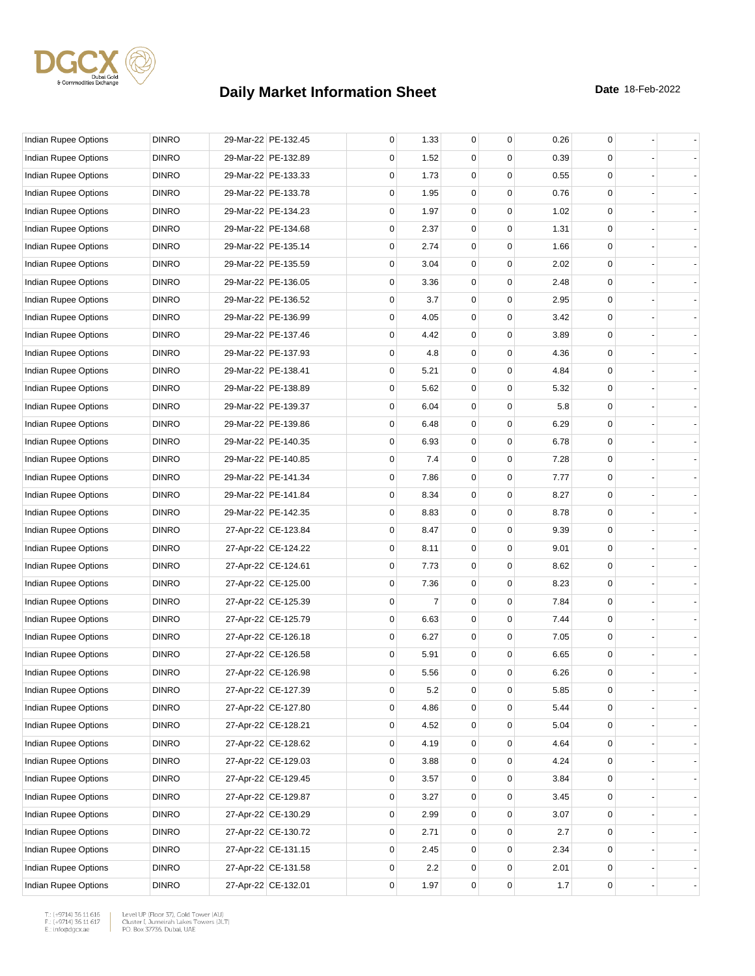

| Indian Rupee Options        | <b>DINRO</b> | 29-Mar-22 PE-132.45 | 0           | 1.33 | $\mathbf 0$ | 0        | 0.26 | 0           |  |
|-----------------------------|--------------|---------------------|-------------|------|-------------|----------|------|-------------|--|
| Indian Rupee Options        | <b>DINRO</b> | 29-Mar-22 PE-132.89 | 0           | 1.52 | 0           | $\Omega$ | 0.39 | 0           |  |
| <b>Indian Rupee Options</b> | <b>DINRO</b> | 29-Mar-22 PE-133.33 | 0           | 1.73 | $\mathbf 0$ | 0        | 0.55 | 0           |  |
| Indian Rupee Options        | <b>DINRO</b> | 29-Mar-22 PE-133.78 | 0           | 1.95 | 0           | 0        | 0.76 | 0           |  |
| Indian Rupee Options        | <b>DINRO</b> | 29-Mar-22 PE-134.23 | 0           | 1.97 | 0           | 0        | 1.02 | $\mathbf 0$ |  |
| Indian Rupee Options        | <b>DINRO</b> | 29-Mar-22 PE-134.68 | 0           | 2.37 | $\mathbf 0$ | 0        | 1.31 | $\mathbf 0$ |  |
| Indian Rupee Options        | <b>DINRO</b> | 29-Mar-22 PE-135.14 | 0           | 2.74 | 0           | $\Omega$ | 1.66 | 0           |  |
| <b>Indian Rupee Options</b> | <b>DINRO</b> | 29-Mar-22 PE-135.59 | 0           | 3.04 | $\mathbf 0$ | $\Omega$ | 2.02 | 0           |  |
| Indian Rupee Options        | <b>DINRO</b> | 29-Mar-22 PE-136.05 | 0           | 3.36 | 0           | 0        | 2.48 | 0           |  |
| Indian Rupee Options        | <b>DINRO</b> | 29-Mar-22 PE-136.52 | 0           | 3.7  | 0           | 0        | 2.95 | $\mathbf 0$ |  |
| Indian Rupee Options        | <b>DINRO</b> | 29-Mar-22 PE-136.99 | 0           | 4.05 | $\mathbf 0$ | 0        | 3.42 | $\mathbf 0$ |  |
| Indian Rupee Options        | <b>DINRO</b> | 29-Mar-22 PE-137.46 | 0           | 4.42 | 0           | $\Omega$ | 3.89 | 0           |  |
| Indian Rupee Options        | <b>DINRO</b> | 29-Mar-22 PE-137.93 | 0           | 4.8  | $\mathbf 0$ | 0        | 4.36 | 0           |  |
| Indian Rupee Options        | <b>DINRO</b> | 29-Mar-22 PE-138.41 | 0           | 5.21 | 0           | 0        | 4.84 | 0           |  |
| Indian Rupee Options        | <b>DINRO</b> | 29-Mar-22 PE-138.89 | 0           | 5.62 | 0           | 0        | 5.32 | $\mathbf 0$ |  |
| <b>Indian Rupee Options</b> | <b>DINRO</b> | 29-Mar-22 PE-139.37 | 0           | 6.04 | $\mathbf 0$ | 0        | 5.8  | $\mathbf 0$ |  |
| <b>Indian Rupee Options</b> | <b>DINRO</b> | 29-Mar-22 PE-139.86 | 0           | 6.48 | 0           | 0        | 6.29 | 0           |  |
| Indian Rupee Options        | <b>DINRO</b> | 29-Mar-22 PE-140.35 | 0           | 6.93 | $\mathbf 0$ | 0        | 6.78 | 0           |  |
| Indian Rupee Options        | <b>DINRO</b> | 29-Mar-22 PE-140.85 | 0           | 7.4  | 0           | 0        | 7.28 | $\mathbf 0$ |  |
| Indian Rupee Options        | <b>DINRO</b> | 29-Mar-22 PE-141.34 | 0           | 7.86 | 0           | 0        | 7.77 | $\mathbf 0$ |  |
| Indian Rupee Options        | <b>DINRO</b> | 29-Mar-22 PE-141.84 | 0           | 8.34 | $\mathbf 0$ | 0        | 8.27 | $\mathbf 0$ |  |
| Indian Rupee Options        | <b>DINRO</b> | 29-Mar-22 PE-142.35 | 0           | 8.83 | 0           | 0        | 8.78 | 0           |  |
| Indian Rupee Options        | <b>DINRO</b> | 27-Apr-22 CE-123.84 | 0           | 8.47 | $\mathbf 0$ | 0        | 9.39 | 0           |  |
| Indian Rupee Options        | <b>DINRO</b> | 27-Apr-22 CE-124.22 | 0           | 8.11 | 0           | 0        | 9.01 | $\mathbf 0$ |  |
| Indian Rupee Options        | <b>DINRO</b> | 27-Apr-22 CE-124.61 | 0           | 7.73 | 0           | 0        | 8.62 | $\mathbf 0$ |  |
| Indian Rupee Options        | <b>DINRO</b> | 27-Apr-22 CE-125.00 | 0           | 7.36 | $\mathbf 0$ | 0        | 8.23 | $\mathbf 0$ |  |
| Indian Rupee Options        | <b>DINRO</b> | 27-Apr-22 CE-125.39 | 0           | 7    | 0           | $\Omega$ | 7.84 | 0           |  |
| Indian Rupee Options        | <b>DINRO</b> | 27-Apr-22 CE-125.79 | 0           | 6.63 | $\mathbf 0$ | 0        | 7.44 | 0           |  |
| <b>Indian Rupee Options</b> | <b>DINRO</b> | 27-Apr-22 CE-126.18 | 0           | 6.27 | 0           | 0        | 7.05 | $\mathbf 0$ |  |
| Indian Rupee Options        | <b>DINRO</b> | 27-Apr-22 CE-126.58 | 0           | 5.91 | 0           | 0        | 6.65 | $\mathbf 0$ |  |
| <b>Indian Rupee Options</b> | <b>DINRO</b> | 27-Apr-22 CE-126.98 | 0           | 5.56 | $\mathbf 0$ | 0        | 6.26 | $\mathbf 0$ |  |
| Indian Rupee Options        | <b>DINRO</b> | 27-Apr-22 CE-127.39 | 0           | 5.2  | 0           | 0        | 5.85 | 0           |  |
| Indian Rupee Options        | <b>DINRO</b> | 27-Apr-22 CE-127.80 | $\mathbf 0$ | 4.86 | 0           | 0        | 5.44 | 0           |  |
| Indian Rupee Options        | <b>DINRO</b> | 27-Apr-22 CE-128.21 | 0           | 4.52 | 0           | 0        | 5.04 | 0           |  |
| Indian Rupee Options        | <b>DINRO</b> | 27-Apr-22 CE-128.62 | $\mathbf 0$ | 4.19 | 0           | 0        | 4.64 | 0           |  |
| Indian Rupee Options        | <b>DINRO</b> | 27-Apr-22 CE-129.03 | 0           | 3.88 | 0           | 0        | 4.24 | 0           |  |
| Indian Rupee Options        | <b>DINRO</b> | 27-Apr-22 CE-129.45 | 0           | 3.57 | 0           | 0        | 3.84 | 0           |  |
| Indian Rupee Options        | <b>DINRO</b> | 27-Apr-22 CE-129.87 | 0           | 3.27 | 0           | 0        | 3.45 | 0           |  |
| Indian Rupee Options        | <b>DINRO</b> | 27-Apr-22 CE-130.29 | 0           | 2.99 | 0           | 0        | 3.07 | 0           |  |
| Indian Rupee Options        | <b>DINRO</b> | 27-Apr-22 CE-130.72 | $\mathbf 0$ | 2.71 | 0           | 0        | 2.7  | 0           |  |
| Indian Rupee Options        | <b>DINRO</b> | 27-Apr-22 CE-131.15 | 0           | 2.45 | 0           | 0        | 2.34 | 0           |  |
| Indian Rupee Options        | <b>DINRO</b> | 27-Apr-22 CE-131.58 | 0           | 2.2  | 0           | 0        | 2.01 | 0           |  |
| Indian Rupee Options        | <b>DINRO</b> | 27-Apr-22 CE-132.01 | 0           | 1.97 | 0           | 0        | 1.7  | 0           |  |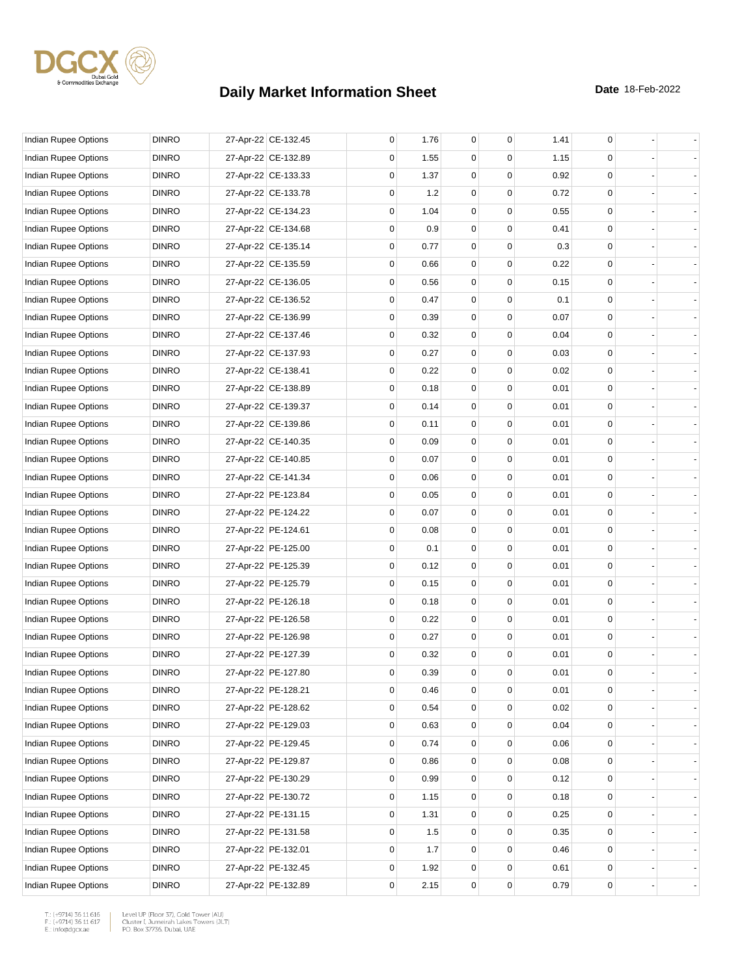

| Indian Rupee Options        | <b>DINRO</b> | 27-Apr-22 CE-132.45 | 0 | 1.76 | 0           | $\mathbf 0$ | 1.41 | 0 |                |
|-----------------------------|--------------|---------------------|---|------|-------------|-------------|------|---|----------------|
| Indian Rupee Options        | <b>DINRO</b> | 27-Apr-22 CE-132.89 | 0 | 1.55 | 0           | 0           | 1.15 | 0 |                |
| <b>Indian Rupee Options</b> | <b>DINRO</b> | 27-Apr-22 CE-133.33 | 0 | 1.37 | 0           | $\mathbf 0$ | 0.92 | 0 |                |
| Indian Rupee Options        | <b>DINRO</b> | 27-Apr-22 CE-133.78 | 0 | 1.2  | 0           | 0           | 0.72 | 0 |                |
| Indian Rupee Options        | <b>DINRO</b> | 27-Apr-22 CE-134.23 | 0 | 1.04 | 0           | $\mathbf 0$ | 0.55 | 0 |                |
| Indian Rupee Options        | <b>DINRO</b> | 27-Apr-22 CE-134.68 | 0 | 0.9  | $\mathbf 0$ | $\mathbf 0$ | 0.41 | 0 |                |
| Indian Rupee Options        | <b>DINRO</b> | 27-Apr-22 CE-135.14 | 0 | 0.77 | 0           | 0           | 0.3  | 0 |                |
| Indian Rupee Options        | <b>DINRO</b> | 27-Apr-22 CE-135.59 | 0 | 0.66 | 0           | 0           | 0.22 | 0 |                |
| Indian Rupee Options        | <b>DINRO</b> | 27-Apr-22 CE-136.05 | 0 | 0.56 | 0           | 0           | 0.15 | 0 |                |
| Indian Rupee Options        | <b>DINRO</b> | 27-Apr-22 CE-136.52 | 0 | 0.47 | $\mathbf 0$ | 0           | 0.1  | 0 |                |
| Indian Rupee Options        | <b>DINRO</b> | 27-Apr-22 CE-136.99 | 0 | 0.39 | 0           | $\mathbf 0$ | 0.07 | 0 |                |
| Indian Rupee Options        | <b>DINRO</b> | 27-Apr-22 CE-137.46 | 0 | 0.32 | 0           | 0           | 0.04 | 0 |                |
| Indian Rupee Options        | <b>DINRO</b> | 27-Apr-22 CE-137.93 | 0 | 0.27 | 0           | 0           | 0.03 | 0 |                |
| Indian Rupee Options        | <b>DINRO</b> | 27-Apr-22 CE-138.41 | 0 | 0.22 | 0           | 0           | 0.02 | 0 |                |
| <b>Indian Rupee Options</b> | <b>DINRO</b> | 27-Apr-22 CE-138.89 | 0 | 0.18 | $\mathbf 0$ | 0           | 0.01 | 0 |                |
| Indian Rupee Options        | <b>DINRO</b> | 27-Apr-22 CE-139.37 | 0 | 0.14 | 0           | $\mathbf 0$ | 0.01 | 0 |                |
| Indian Rupee Options        | <b>DINRO</b> | 27-Apr-22 CE-139.86 | 0 | 0.11 | $\mathbf 0$ | 0           | 0.01 | 0 |                |
| Indian Rupee Options        | <b>DINRO</b> | 27-Apr-22 CE-140.35 | 0 | 0.09 | 0           | $\mathbf 0$ | 0.01 | 0 |                |
| <b>Indian Rupee Options</b> | <b>DINRO</b> | 27-Apr-22 CE-140.85 | 0 | 0.07 | 0           | 0           | 0.01 | 0 |                |
| Indian Rupee Options        | <b>DINRO</b> | 27-Apr-22 CE-141.34 | 0 | 0.06 | $\mathbf 0$ | 0           | 0.01 | 0 |                |
| Indian Rupee Options        | <b>DINRO</b> | 27-Apr-22 PE-123.84 | 0 | 0.05 | $\mathbf 0$ | $\mathbf 0$ | 0.01 | 0 |                |
| Indian Rupee Options        | <b>DINRO</b> | 27-Apr-22 PE-124.22 | 0 | 0.07 | 0           | 0           | 0.01 | 0 |                |
| Indian Rupee Options        | <b>DINRO</b> | 27-Apr-22 PE-124.61 | 0 | 0.08 | 0           | $\mathbf 0$ | 0.01 | 0 |                |
| Indian Rupee Options        | <b>DINRO</b> | 27-Apr-22 PE-125.00 | 0 | 0.1  | 0           | $\mathbf 0$ | 0.01 | 0 |                |
| Indian Rupee Options        | <b>DINRO</b> | 27-Apr-22 PE-125.39 | 0 | 0.12 | $\mathbf 0$ | 0           | 0.01 | 0 |                |
| Indian Rupee Options        | <b>DINRO</b> | 27-Apr-22 PE-125.79 | 0 | 0.15 | 0           | $\mathbf 0$ | 0.01 | 0 |                |
| Indian Rupee Options        | <b>DINRO</b> | 27-Apr-22 PE-126.18 | 0 | 0.18 | 0           | 0           | 0.01 | 0 |                |
| Indian Rupee Options        | <b>DINRO</b> | 27-Apr-22 PE-126.58 | 0 | 0.22 | 0           | $\mathbf 0$ | 0.01 | 0 |                |
| Indian Rupee Options        | <b>DINRO</b> | 27-Apr-22 PE-126.98 | 0 | 0.27 | 0           | 0           | 0.01 | 0 |                |
| Indian Rupee Options        | <b>DINRO</b> | 27-Apr-22 PE-127.39 | 0 | 0.32 | $\mathbf 0$ | 0           | 0.01 | 0 |                |
| Indian Rupee Options        | <b>DINRO</b> | 27-Apr-22 PE-127.80 | 0 | 0.39 | 0           | $\mathbf 0$ | 0.01 | 0 |                |
| Indian Rupee Options        | <b>DINRO</b> | 27-Apr-22 PE-128.21 | 0 | 0.46 | 0           | 0           | 0.01 | 0 |                |
| <b>Indian Rupee Options</b> | <b>DINRO</b> | 27-Apr-22 PE-128.62 | 0 | 0.54 | 0           | 0           | 0.02 | 0 |                |
| <b>Indian Rupee Options</b> | <b>DINRO</b> | 27-Apr-22 PE-129.03 | 0 | 0.63 | 0           | 0           | 0.04 | 0 |                |
| Indian Rupee Options        | <b>DINRO</b> | 27-Apr-22 PE-129.45 | 0 | 0.74 | 0           | 0           | 0.06 | 0 |                |
| Indian Rupee Options        | <b>DINRO</b> | 27-Apr-22 PE-129.87 | 0 | 0.86 | 0           | 0           | 0.08 | 0 |                |
| <b>Indian Rupee Options</b> | <b>DINRO</b> | 27-Apr-22 PE-130.29 | 0 | 0.99 | 0           | 0           | 0.12 | 0 | $\blacksquare$ |
| Indian Rupee Options        | <b>DINRO</b> | 27-Apr-22 PE-130.72 | 0 | 1.15 | 0           | 0           | 0.18 | 0 | $\blacksquare$ |
| Indian Rupee Options        | <b>DINRO</b> | 27-Apr-22 PE-131.15 | 0 | 1.31 | 0           | 0           | 0.25 | 0 |                |
| Indian Rupee Options        | <b>DINRO</b> | 27-Apr-22 PE-131.58 | 0 | 1.5  | 0           | 0           | 0.35 | 0 |                |
| Indian Rupee Options        | <b>DINRO</b> | 27-Apr-22 PE-132.01 | 0 | 1.7  | 0           | $\mathbf 0$ | 0.46 | 0 |                |
| Indian Rupee Options        | <b>DINRO</b> | 27-Apr-22 PE-132.45 | 0 | 1.92 | 0           | 0           | 0.61 | 0 |                |
| Indian Rupee Options        | <b>DINRO</b> | 27-Apr-22 PE-132.89 | 0 | 2.15 | 0           | 0           | 0.79 | 0 |                |